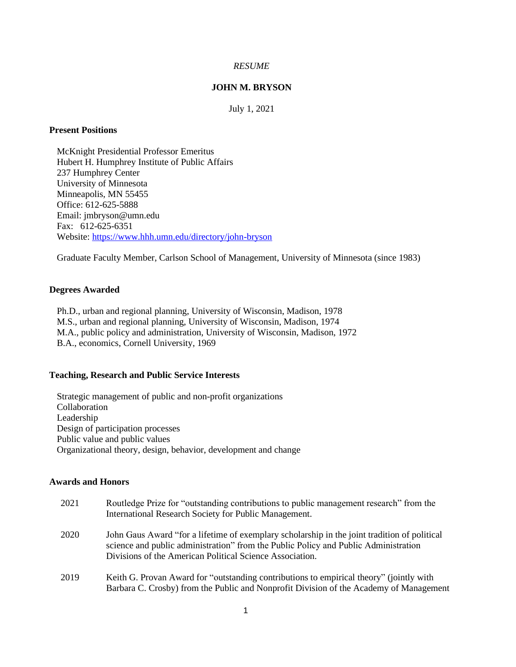## *RESUME*

# **JOHN M. BRYSON**

July 1, 2021

# **Present Positions**

McKnight Presidential Professor Emeritus Hubert H. Humphrey Institute of Public Affairs 237 Humphrey Center University of Minnesota Minneapolis, MN 55455 Office: 612-625-5888 Email: jmbryson@umn.edu Fax: 612-625-6351 Website:<https://www.hhh.umn.edu/directory/john-bryson>

Graduate Faculty Member, Carlson School of Management, University of Minnesota (since 1983)

## **Degrees Awarded**

Ph.D., urban and regional planning, University of Wisconsin, Madison, 1978 M.S., urban and regional planning, University of Wisconsin, Madison, 1974 M.A., public policy and administration, University of Wisconsin, Madison, 1972 B.A., economics, Cornell University, 1969

# **Teaching, Research and Public Service Interests**

Strategic management of public and non-profit organizations Collaboration Leadership Design of participation processes Public value and public values Organizational theory, design, behavior, development and change

# **Awards and Honors**

| 2021 | Routledge Prize for "outstanding contributions to public management research" from the<br>International Research Society for Public Management.                                                                                                 |
|------|-------------------------------------------------------------------------------------------------------------------------------------------------------------------------------------------------------------------------------------------------|
| 2020 | John Gaus Award "for a lifetime of exemplary scholarship in the joint tradition of political<br>science and public administration" from the Public Policy and Public Administration<br>Divisions of the American Political Science Association. |
| 2019 | Keith G. Provan Award for "outstanding contributions to empirical theory" (jointly with<br>Barbara C. Crosby) from the Public and Nonprofit Division of the Academy of Management                                                               |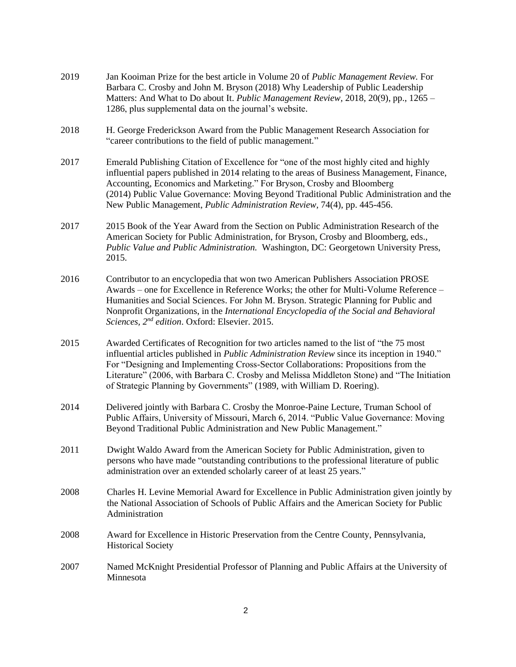- 2019 Jan Kooiman Prize for the best article in Volume 20 of *Public Management Review.* For Barbara C. Crosby and John M. Bryson (2018) Why Leadership of Public Leadership Matters: And What to Do about It. *Public Management Review,* 2018, 20(9), pp., 1265 – 1286, plus supplemental data on the journal's website.
- 2018 H. George Frederickson Award from the Public Management Research Association for "career contributions to the field of public management."
- 2017 Emerald Publishing Citation of Excellence for "one of the most highly cited and highly influential papers published in 2014 relating to the areas of Business Management, Finance, Accounting, Economics and Marketing." For Bryson, Crosby and Bloomberg (2014) Public Value Governance: Moving Beyond Traditional Public Administration and the New Public Management, *Public Administration Review,* 74(4), pp. 445-456.
- 2017 2015 Book of the Year Award from the Section on Public Administration Research of the American Society for Public Administration, for Bryson, Crosby and Bloomberg, eds., *Public Value and Public Administration.* Washington, DC: Georgetown University Press, 2015.
- 2016 Contributor to an encyclopedia that won two American Publishers Association PROSE Awards – one for Excellence in Reference Works; the other for Multi-Volume Reference – Humanities and Social Sciences. For John M. Bryson. Strategic Planning for Public and Nonprofit Organizations, in the *International Encyclopedia of the Social and Behavioral Sciences, 2nd edition*. Oxford: Elsevier. 2015.
- 2015 Awarded Certificates of Recognition for two articles named to the list of "the 75 most influential articles published in *Public Administration Review* since its inception in 1940." For "Designing and Implementing Cross-Sector Collaborations: Propositions from the Literature" (2006, with Barbara C. Crosby and Melissa Middleton Stone) and "The Initiation of Strategic Planning by Governments" (1989, with William D. Roering).
- 2014 Delivered jointly with Barbara C. Crosby the Monroe-Paine Lecture, Truman School of Public Affairs, University of Missouri, March 6, 2014. "Public Value Governance: Moving Beyond Traditional Public Administration and New Public Management."
- 2011 Dwight Waldo Award from the American Society for Public Administration, given to persons who have made "outstanding contributions to the professional literature of public administration over an extended scholarly career of at least 25 years."
- 2008 Charles H. Levine Memorial Award for Excellence in Public Administration given jointly by the National Association of Schools of Public Affairs and the American Society for Public Administration
- 2008 Award for Excellence in Historic Preservation from the Centre County, Pennsylvania, Historical Society
- 2007 Named McKnight Presidential Professor of Planning and Public Affairs at the University of Minnesota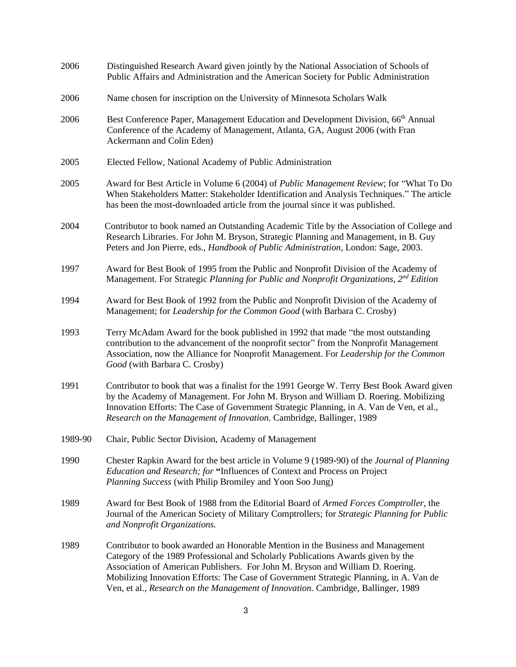| 2006    | Distinguished Research Award given jointly by the National Association of Schools of<br>Public Affairs and Administration and the American Society for Public Administration                                                                                                                                                                                                                                                         |
|---------|--------------------------------------------------------------------------------------------------------------------------------------------------------------------------------------------------------------------------------------------------------------------------------------------------------------------------------------------------------------------------------------------------------------------------------------|
| 2006    | Name chosen for inscription on the University of Minnesota Scholars Walk                                                                                                                                                                                                                                                                                                                                                             |
| 2006    | Best Conference Paper, Management Education and Development Division, 66 <sup>th</sup> Annual<br>Conference of the Academy of Management, Atlanta, GA, August 2006 (with Fran<br>Ackermann and Colin Eden)                                                                                                                                                                                                                           |
| 2005    | Elected Fellow, National Academy of Public Administration                                                                                                                                                                                                                                                                                                                                                                            |
| 2005    | Award for Best Article in Volume 6 (2004) of <i>Public Management Review</i> ; for "What To Do<br>When Stakeholders Matter: Stakeholder Identification and Analysis Techniques." The article<br>has been the most-downloaded article from the journal since it was published.                                                                                                                                                        |
| 2004    | Contributor to book named an Outstanding Academic Title by the Association of College and<br>Research Libraries. For John M. Bryson, Strategic Planning and Management, in B. Guy<br>Peters and Jon Pierre, eds., Handbook of Public Administration, London: Sage, 2003.                                                                                                                                                             |
| 1997    | Award for Best Book of 1995 from the Public and Nonprofit Division of the Academy of<br>Management. For Strategic Planning for Public and Nonprofit Organizations, $2^{nd}$ Edition                                                                                                                                                                                                                                                  |
| 1994    | Award for Best Book of 1992 from the Public and Nonprofit Division of the Academy of<br>Management; for Leadership for the Common Good (with Barbara C. Crosby)                                                                                                                                                                                                                                                                      |
| 1993    | Terry McAdam Award for the book published in 1992 that made "the most outstanding<br>contribution to the advancement of the nonprofit sector" from the Nonprofit Management<br>Association, now the Alliance for Nonprofit Management. For Leadership for the Common<br>Good (with Barbara C. Crosby)                                                                                                                                |
| 1991    | Contributor to book that was a finalist for the 1991 George W. Terry Best Book Award given<br>by the Academy of Management. For John M. Bryson and William D. Roering. Mobilizing<br>Innovation Efforts: The Case of Government Strategic Planning, in A. Van de Ven, et al.,<br>Research on the Management of Innovation. Cambridge, Ballinger, 1989                                                                                |
| 1989-90 | Chair, Public Sector Division, Academy of Management                                                                                                                                                                                                                                                                                                                                                                                 |
| 1990    | Chester Rapkin Award for the best article in Volume 9 (1989-90) of the <i>Journal of Planning</i><br>Education and Research; for "Influences of Context and Process on Project<br>Planning Success (with Philip Bromiley and Yoon Soo Jung)                                                                                                                                                                                          |
| 1989    | Award for Best Book of 1988 from the Editorial Board of Armed Forces Comptroller, the<br>Journal of the American Society of Military Comptrollers; for Strategic Planning for Public<br>and Nonprofit Organizations.                                                                                                                                                                                                                 |
| 1989    | Contributor to book awarded an Honorable Mention in the Business and Management<br>Category of the 1989 Professional and Scholarly Publications Awards given by the<br>Association of American Publishers. For John M. Bryson and William D. Roering.<br>Mobilizing Innovation Efforts: The Case of Government Strategic Planning, in A. Van de<br>Ven, et al., Research on the Management of Innovation. Cambridge, Ballinger, 1989 |
|         |                                                                                                                                                                                                                                                                                                                                                                                                                                      |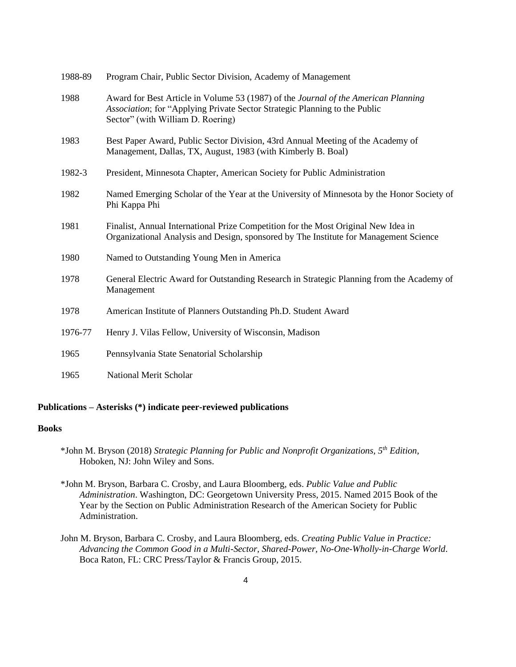| 1900-09 | Program Chair, Public Sector Division, Academy of Management                                                                                                                                          |
|---------|-------------------------------------------------------------------------------------------------------------------------------------------------------------------------------------------------------|
| 1988    | Award for Best Article in Volume 53 (1987) of the Journal of the American Planning<br>Association; for "Applying Private Sector Strategic Planning to the Public<br>Sector" (with William D. Roering) |
| 1983    | Best Paper Award, Public Sector Division, 43rd Annual Meeting of the Academy of<br>Management, Dallas, TX, August, 1983 (with Kimberly B. Boal)                                                       |
| 1982-3  | President, Minnesota Chapter, American Society for Public Administration                                                                                                                              |
| 1982    | Named Emerging Scholar of the Year at the University of Minnesota by the Honor Society of<br>Phi Kappa Phi                                                                                            |
| 1981    | Finalist, Annual International Prize Competition for the Most Original New Idea in<br>Organizational Analysis and Design, sponsored by The Institute for Management Science                           |
| 1980    | Named to Outstanding Young Men in America                                                                                                                                                             |
| 1978    | General Electric Award for Outstanding Research in Strategic Planning from the Academy of<br>Management                                                                                               |
| 1978    | American Institute of Planners Outstanding Ph.D. Student Award                                                                                                                                        |
| 1976-77 | Henry J. Vilas Fellow, University of Wisconsin, Madison                                                                                                                                               |
| 1965    | Pennsylvania State Senatorial Scholarship                                                                                                                                                             |
| 1965    | <b>National Merit Scholar</b>                                                                                                                                                                         |

1988-89 Program Chair, Public Sector Division, Academy of Management

## **Publications – Asterisks (\*) indicate peer-reviewed publications**

## **Books**

- \*John M. Bryson (2018) *Strategic Planning for Public and Nonprofit Organizations, 5th Edition,*  Hoboken, NJ: John Wiley and Sons.
- \*John M. Bryson, Barbara C. Crosby, and Laura Bloomberg, eds. *Public Value and Public Administration*. Washington, DC: Georgetown University Press, 2015. Named 2015 Book of the Year by the Section on Public Administration Research of the American Society for Public Administration.
- John M. Bryson, Barbara C. Crosby, and Laura Bloomberg*,* eds. *Creating Public Value in Practice: Advancing the Common Good in a Multi-Sector, Shared-Power, No-One-Wholly-in-Charge World*. Boca Raton, FL: CRC Press/Taylor & Francis Group, 2015.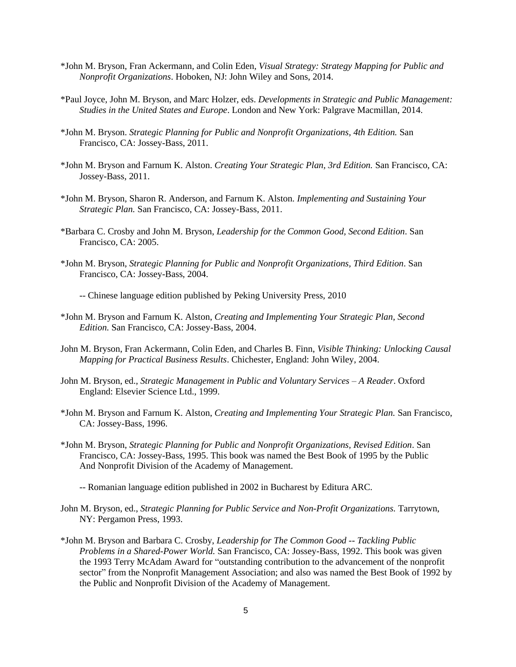- \*John M. Bryson, Fran Ackermann, and Colin Eden, *Visual Strategy: Strategy Mapping for Public and Nonprofit Organizations*. Hoboken, NJ: John Wiley and Sons, 2014.
- \*Paul Joyce, John M. Bryson, and Marc Holzer, eds. *Developments in Strategic and Public Management: Studies in the United States and Europe*. London and New York: Palgrave Macmillan, 2014.
- \*John M. Bryson. *Strategic Planning for Public and Nonprofit Organizations, 4th Edition.* San Francisco, CA: Jossey-Bass, 2011.
- \*John M. Bryson and Farnum K. Alston. *Creating Your Strategic Plan, 3rd Edition.* San Francisco, CA: Jossey-Bass, 2011.
- \*John M. Bryson, Sharon R. Anderson, and Farnum K. Alston. *Implementing and Sustaining Your Strategic Plan.* San Francisco, CA: Jossey-Bass, 2011.
- \*Barbara C. Crosby and John M. Bryson, *Leadership for the Common Good, Second Edition*. San Francisco, CA: 2005.
- \*John M. Bryson, *Strategic Planning for Public and Nonprofit Organizations, Third Edition*. San Francisco, CA: Jossey-Bass, 2004.

-- Chinese language edition published by Peking University Press, 2010

- \*John M. Bryson and Farnum K. Alston, *Creating and Implementing Your Strategic Plan, Second Edition.* San Francisco, CA: Jossey-Bass, 2004.
- John M. Bryson, Fran Ackermann, Colin Eden, and Charles B. Finn, *Visible Thinking: Unlocking Causal Mapping for Practical Business Results*. Chichester, England: John Wiley, 2004.
- John M. Bryson, ed., *Strategic Management in Public and Voluntary Services – A Reader*. Oxford England: Elsevier Science Ltd., 1999.
- \*John M. Bryson and Farnum K. Alston, *Creating and Implementing Your Strategic Plan.* San Francisco, CA: Jossey-Bass, 1996.
- \*John M. Bryson, *Strategic Planning for Public and Nonprofit Organizations, Revised Edition*. San Francisco, CA: Jossey-Bass, 1995. This book was named the Best Book of 1995 by the Public And Nonprofit Division of the Academy of Management.
	- -- Romanian language edition published in 2002 in Bucharest by Editura ARC.
- John M. Bryson, ed., *Strategic Planning for Public Service and Non-Profit Organizations.* Tarrytown, NY: Pergamon Press, 1993.
- \*John M. Bryson and Barbara C. Crosby, *Leadership for The Common Good -- Tackling Public Problems in a Shared-Power World.* San Francisco, CA: Jossey-Bass, 1992. This book was given the 1993 Terry McAdam Award for "outstanding contribution to the advancement of the nonprofit sector" from the Nonprofit Management Association; and also was named the Best Book of 1992 by the Public and Nonprofit Division of the Academy of Management.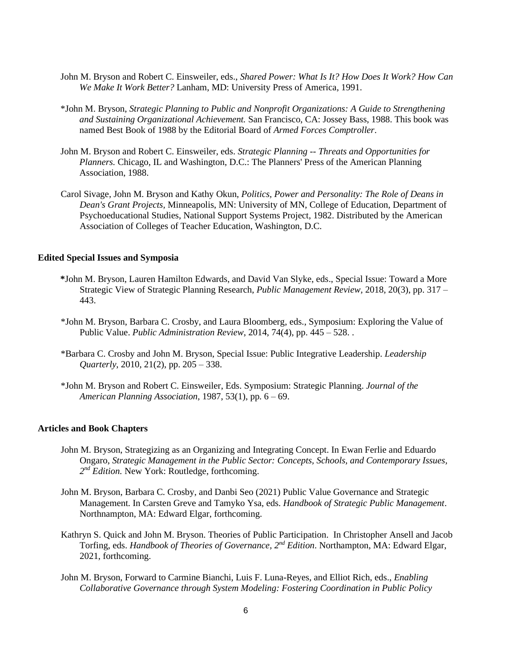- John M. Bryson and Robert C. Einsweiler, eds., *Shared Power: What Is It? How Does It Work? How Can We Make It Work Better?* Lanham, MD: University Press of America, 1991.
- \*John M. Bryson, *Strategic Planning to Public and Nonprofit Organizations: A Guide to Strengthening and Sustaining Organizational Achievement.* San Francisco, CA: Jossey Bass, 1988. This book was named Best Book of 1988 by the Editorial Board of *Armed Forces Comptroller*.
- John M. Bryson and Robert C. Einsweiler, eds. *Strategic Planning -- Threats and Opportunities for Planners.* Chicago, IL and Washington, D.C.: The Planners' Press of the American Planning Association, 1988.
- Carol Sivage, John M. Bryson and Kathy Okun, *Politics, Power and Personality: The Role of Deans in Dean's Grant Projects,* Minneapolis, MN: University of MN, College of Education, Department of Psychoeducational Studies, National Support Systems Project, 1982. Distributed by the American Association of Colleges of Teacher Education, Washington, D.C.

## **Edited Special Issues and Symposia**

- **\***John M. Bryson, Lauren Hamilton Edwards, and David Van Slyke, eds., Special Issue: Toward a More Strategic View of Strategic Planning Research, *Public Management Review,* 2018, 20(3), pp. 317 – 443.
- \*John M. Bryson, Barbara C. Crosby, and Laura Bloomberg, eds., Symposium: Exploring the Value of Public Value. *Public Administration Review*, 2014, 74(4), pp. 445 – 528. .
- \*Barbara C. Crosby and John M. Bryson, Special Issue: Public Integrative Leadership. *Leadership Quarterly*, 2010, 21(2), pp. 205 – 338.
- \*John M. Bryson and Robert C. Einsweiler, Eds. Symposium: Strategic Planning. *Journal of the American Planning Association,* 1987, 53(1), pp. 6 – 69.

#### **Articles and Book Chapters**

- John M. Bryson, Strategizing as an Organizing and Integrating Concept. In Ewan Ferlie and Eduardo Ongaro, *Strategic Management in the Public Sector: Concepts, Schools, and Contemporary Issues,*  2<sup>nd</sup> Edition. New York: Routledge, forthcoming.
- John M. Bryson, Barbara C. Crosby, and Danbi Seo (2021) Public Value Governance and Strategic Management. In Carsten Greve and Tamyko Ysa, eds. *Handbook of Strategic Public Management*. Northnampton, MA: Edward Elgar, forthcoming.
- Kathryn S. Quick and John M. Bryson. Theories of Public Participation. In Christopher Ansell and Jacob Torfing, eds. *Handbook of Theories of Governance, 2nd Edition*. Northampton, MA: Edward Elgar, 2021, forthcoming.
- John M. Bryson, Forward to Carmine Bianchi, Luis F. Luna-Reyes, and Elliot Rich, eds., *Enabling Collaborative Governance through System Modeling: Fostering Coordination in Public Policy*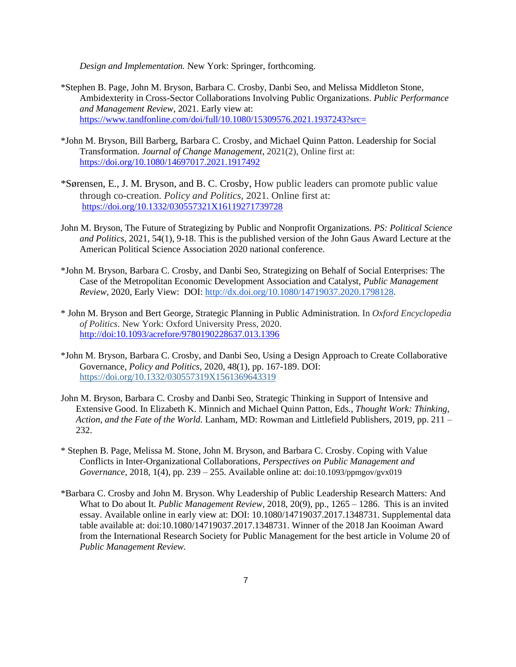*Design and Implementation.* New York: Springer, forthcoming.

- \*Stephen B. Page, John M. Bryson, Barbara C. Crosby, Danbi Seo, and Melissa Middleton Stone, Ambidexterity in Cross-Sector Collaborations Involving Public Organizations. *Public Performance and Management Review,* 2021. Early view at: <https://www.tandfonline.com/doi/full/10.1080/15309576.2021.1937243?src=>
- \*John M. Bryson, Bill Barberg, Barbara C. Crosby, and Michael Quinn Patton. Leadership for Social Transformation. *Journal of Change Management*, 2021(2), Online first at: <https://doi.org/10.1080/14697017.2021.1917492>
- \*Sørensen, E., J. M. Bryson, and B. C. Crosby, How public leaders can promote public value through co-creation. *Policy and Politics,* 2021. Online first at: <https://doi.org/10.1332/030557321X16119271739728>
- John M. Bryson, The Future of Strategizing by Public and Nonprofit Organizations. *PS: Political Science and Politics,* 2021, 54(1), 9-18. This is the published version of the John Gaus Award Lecture at the American Political Science Association 2020 national conference.
- \*John M. Bryson, Barbara C. Crosby, and Danbi Seo, Strategizing on Behalf of Social Enterprises: The Case of the Metropolitan Economic Development Association and Catalyst, *Public Management Review,* 2020, Early View: DOI: [http://dx.doi.org/10.1080/14719037.2020.1798128.](http://dx.doi.org/10.1080/14719037.2020.1798128)
- \* John M. Bryson and Bert George, Strategic Planning in Public Administration. In *Oxford Encyclopedia of Politics*. New York: Oxford University Press, 2020. <http://doi:10.1093/acrefore/9780190228637.013.1396>
- \*John M. Bryson, Barbara C. Crosby, and Danbi Seo, Using a Design Approach to Create Collaborative Governance, *Policy and Politics,* 2020, 48(1), pp. 167-189. DOI: [https://doi.org/10.1332/030557319X1561369643319](https://doi.org/10.1332/030557319X15613696433190)
- John M. Bryson, Barbara C. Crosby and Danbi Seo, Strategic Thinking in Support of Intensive and Extensive Good. In Elizabeth K. Minnich and Michael Quinn Patton, Eds., *Thought Work: Thinking, Action, and the Fate of the World.* Lanham, MD: Rowman and Littlefield Publishers, 2019, pp. 211 – 232.
- \* Stephen B. Page, Melissa M. Stone, John M. Bryson, and Barbara C. Crosby. Coping with Value Conflicts in Inter-Organizational Collaborations, *Perspectives on Public Management and Governance,* 2018, 1(4), pp. 239 – 255. Available online at: doi:10.1093/ppmgov/gvx019
- \*Barbara C. Crosby and John M. Bryson. Why Leadership of Public Leadership Research Matters: And What to Do about It. *Public Management Review,* 2018, 20(9), pp., 1265 – 1286. This is an invited essay. Available online in early view at: DOI: 10.1080/14719037.2017.1348731. Supplemental data table available at: doi:10.1080/14719037.2017.1348731. Winner of the 2018 Jan Kooiman Award from the International Research Society for Public Management for the best article in Volume 20 of *Public Management Review.*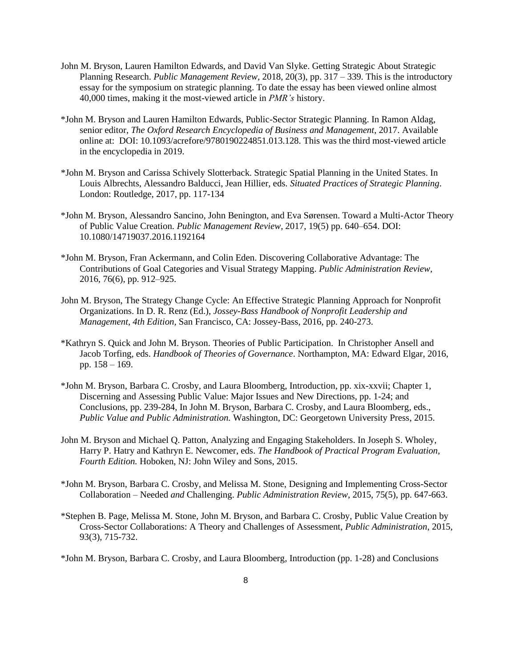- John M. Bryson, Lauren Hamilton Edwards, and David Van Slyke. Getting Strategic About Strategic Planning Research. *Public Management Review,* 2018, 20(3), pp. 317 – 339. This is the introductory essay for the symposium on strategic planning. To date the essay has been viewed online almost 40,000 times, making it the most-viewed article in *PMR's* history.
- \*John M. Bryson and Lauren Hamilton Edwards, Public-Sector Strategic Planning. In Ramon Aldag, senior editor, *The Oxford Research Encyclopedia of Business and Management*, 2017. Available online at: DOI: 10.1093/acrefore/9780190224851.013.128. This was the third most-viewed article in the encyclopedia in 2019.
- \*John M. Bryson and Carissa Schively Slotterback. Strategic Spatial Planning in the United States. In Louis Albrechts, Alessandro Balducci, Jean Hillier, eds. *Situated Practices of Strategic Planning*. London: Routledge, 2017, pp. 117-134
- \*John M. Bryson, Alessandro Sancino, John Benington, and Eva Sørensen. Toward a Multi-Actor Theory of Public Value Creation. *Public Management Review,* 2017, 19(5) pp. 640–654. DOI: 10.1080/14719037.2016.1192164
- \*John M. Bryson, Fran Ackermann, and Colin Eden. Discovering Collaborative Advantage: The Contributions of Goal Categories and Visual Strategy Mapping. *Public Administration Review,*  2016, 76(6), pp. 912–925.
- John M. Bryson, The Strategy Change Cycle: An Effective Strategic Planning Approach for Nonprofit Organizations. In D. R. Renz (Ed.), *Jossey-Bass Handbook of Nonprofit Leadership and Management, 4th Edition,* San Francisco, CA: Jossey-Bass, 2016, pp. 240-273.
- \*Kathryn S. Quick and John M. Bryson. Theories of Public Participation. In Christopher Ansell and Jacob Torfing, eds. *Handbook of Theories of Governance*. Northampton, MA: Edward Elgar, 2016, pp. 158 – 169.
- \*John M. Bryson, Barbara C. Crosby, and Laura Bloomberg, Introduction, pp. xix-xxvii; Chapter 1, Discerning and Assessing Public Value: Major Issues and New Directions, pp. 1-24; and Conclusions, pp. 239-284, In John M. Bryson, Barbara C. Crosby, and Laura Bloomberg*,* eds., *Public Value and Public Administration.* Washington, DC: Georgetown University Press, 2015.
- John M. Bryson and Michael Q. Patton, Analyzing and Engaging Stakeholders. In Joseph S. Wholey, Harry P. Hatry and Kathryn E. Newcomer, eds. *The Handbook of Practical Program Evaluation, Fourth Edition.* Hoboken, NJ: John Wiley and Sons, 2015.
- \*John M. Bryson, Barbara C. Crosby, and Melissa M. Stone, Designing and Implementing Cross-Sector Collaboration – Needed *and* Challenging. *Public Administration Review*, 2015, 75(5), pp. 647-663.
- \*Stephen B. Page, Melissa M. Stone, John M. Bryson, and Barbara C. Crosby, Public Value Creation by Cross-Sector Collaborations: A Theory and Challenges of Assessment, *Public Administration*, 2015, 93(3), 715-732.
- \*John M. Bryson, Barbara C. Crosby, and Laura Bloomberg*,* Introduction (pp. 1-28) and Conclusions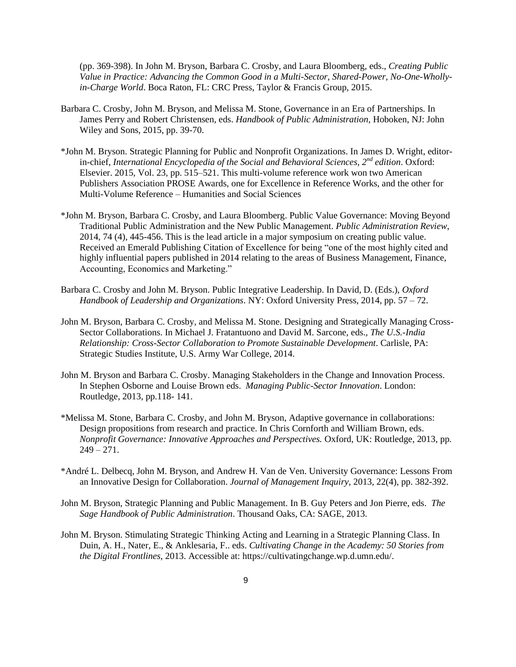(pp. 369-398). In John M. Bryson, Barbara C. Crosby, and Laura Bloomberg, eds., *Creating Public Value in Practice: Advancing the Common Good in a Multi-Sector, Shared-Power, No-One-Whollyin-Charge World*. Boca Raton, FL: CRC Press, Taylor & Francis Group, 2015.

- Barbara C. Crosby, John M. Bryson, and Melissa M. Stone, Governance in an Era of Partnerships. In James Perry and Robert Christensen, eds. *Handbook of Public Administration*, Hoboken, NJ: John Wiley and Sons, 2015, pp. 39-70.
- \*John M. Bryson. Strategic Planning for Public and Nonprofit Organizations. In James D. Wright, editorin-chief, *International Encyclopedia of the Social and Behavioral Sciences, 2nd edition*. Oxford: Elsevier. 2015, Vol. 23, pp. 515–521. This multi-volume reference work won two American Publishers Association PROSE Awards, one for Excellence in Reference Works, and the other for Multi-Volume Reference – Humanities and Social Sciences
- \*John M. Bryson, Barbara C. Crosby, and Laura Bloomberg. Public Value Governance: Moving Beyond Traditional Public Administration and the New Public Management. *Public Administration Review*, 2014, 74 (4), 445-456. This is the lead article in a major symposium on creating public value. Received an Emerald Publishing Citation of Excellence for being "one of the most highly cited and highly influential papers published in 2014 relating to the areas of Business Management, Finance, Accounting, Economics and Marketing."
- Barbara C. Crosby and John M. Bryson. Public Integrative Leadership. In David, D. (Eds.), *Oxford Handbook of Leadership and Organizations*. NY: Oxford University Press, 2014, pp. 57 – 72.
- John M. Bryson, Barbara C. Crosby, and Melissa M. Stone. Designing and Strategically Managing Cross-Sector Collaborations. In Michael J. Fratantuono and David M. Sarcone, eds., *The U.S.-India Relationship: Cross-Sector Collaboration to Promote Sustainable Development*. Carlisle, PA: Strategic Studies Institute, U.S. Army War College, 2014.
- John M. Bryson and Barbara C. Crosby. Managing Stakeholders in the Change and Innovation Process. In Stephen Osborne and Louise Brown eds. *Managing Public-Sector Innovation*. London: Routledge, 2013, pp.118- 141.
- \*Melissa M. Stone, Barbara C. Crosby, and John M. Bryson, Adaptive governance in collaborations: Design propositions from research and practice. In Chris Cornforth and William Brown, eds. *Nonprofit Governance: Innovative Approaches and Perspectives.* Oxford, UK: Routledge, 2013, pp.  $249 - 271.$
- \*André L. Delbecq, John M. Bryson, and Andrew H. Van de Ven. University Governance: Lessons From an Innovative Design for Collaboration. *Journal of Management Inquiry*, 2013, 22(4), pp. 382-392.
- John M. Bryson, Strategic Planning and Public Management. In B. Guy Peters and Jon Pierre, eds. *The Sage Handbook of Public Administration*. Thousand Oaks, CA: SAGE, 2013.
- John M. Bryson. Stimulating Strategic Thinking Acting and Learning in a Strategic Planning Class. In Duin, A. H., Nater, E., & Anklesaria, F.. eds. *Cultivating Change in the Academy: 50 Stories from the Digital Frontlines*, 2013. Accessible at: https://cultivatingchange.wp.d.umn.edu/.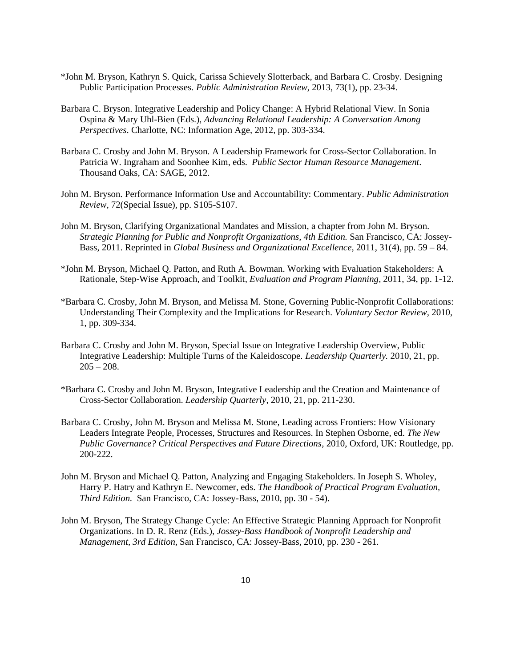- \*John M. Bryson, Kathryn S. Quick, Carissa Schievely Slotterback, and Barbara C. Crosby. Designing Public Participation Processes. *Public Administration Review,* 2013, 73(1), pp. 23-34.
- Barbara C. Bryson. Integrative Leadership and Policy Change: A Hybrid Relational View. In Sonia Ospina & Mary Uhl-Bien (Eds.), *Advancing Relational Leadership: A Conversation Among Perspectives*. Charlotte, NC: Information Age, 2012, pp. 303-334.
- Barbara C. Crosby and John M. Bryson. A Leadership Framework for Cross-Sector Collaboration. In Patricia W. Ingraham and Soonhee Kim, eds. *Public Sector Human Resource Management*. Thousand Oaks, CA: SAGE, 2012.
- John M. Bryson. Performance Information Use and Accountability: Commentary. *Public Administration Review,* 72(Special Issue), pp. S105-S107.
- John M. Bryson, Clarifying Organizational Mandates and Mission, a chapter from John M. Bryson. *Strategic Planning for Public and Nonprofit Organizations, 4th Edition.* San Francisco, CA: Jossey-Bass, 2011. Reprinted in *Global Business and Organizational Excellence,* 2011, 31(4), pp. 59 – 84.
- \*John M. Bryson, Michael Q. Patton, and Ruth A. Bowman. Working with Evaluation Stakeholders: A Rationale, Step-Wise Approach, and Toolkit, *Evaluation and Program Planning*, 2011, 34, pp. 1-12.
- \*Barbara C. Crosby, John M. Bryson, and Melissa M. Stone, Governing Public-Nonprofit Collaborations: Understanding Their Complexity and the Implications for Research. *Voluntary Sector Review,* 2010, 1, pp. 309-334.
- Barbara C. Crosby and John M. Bryson, Special Issue on Integrative Leadership Overview, Public Integrative Leadership: Multiple Turns of the Kaleidoscope. *Leadership Quarterly.* 2010, 21, pp.  $205 - 208$ .
- \*Barbara C. Crosby and John M. Bryson, [Integrative Leadership and the Creation and Maintenance of](https://www2.hhh.umn.edu/publications/11236/)  [Cross-Sector Collaboration.](https://www2.hhh.umn.edu/publications/11236/) *Leadership Quarterly*, 2010, 21, pp. 211-230.
- Barbara C. Crosby, John M. Bryson and Melissa M. Stone, Leading across Frontiers: How Visionary Leaders Integrate People, Processes, Structures and Resources. In Stephen Osborne, ed. *The New Public Governance? Critical Perspectives and Future Directions*, 2010, Oxford, UK: Routledge, pp. 200-222.
- John M. Bryson and Michael Q. Patton, Analyzing and Engaging Stakeholders. In Joseph S. Wholey, Harry P. Hatry and Kathryn E. Newcomer, eds. *The Handbook of Practical Program Evaluation, Third Edition.* San Francisco, CA: Jossey-Bass, 2010, pp. 30 - 54).
- John M. Bryson, The Strategy Change Cycle: An Effective Strategic Planning Approach for Nonprofit Organizations. In D. R. Renz (Eds.), *Jossey-Bass Handbook of Nonprofit Leadership and Management, 3rd Edition,* San Francisco, CA: Jossey-Bass, 2010, pp. 230 - 261.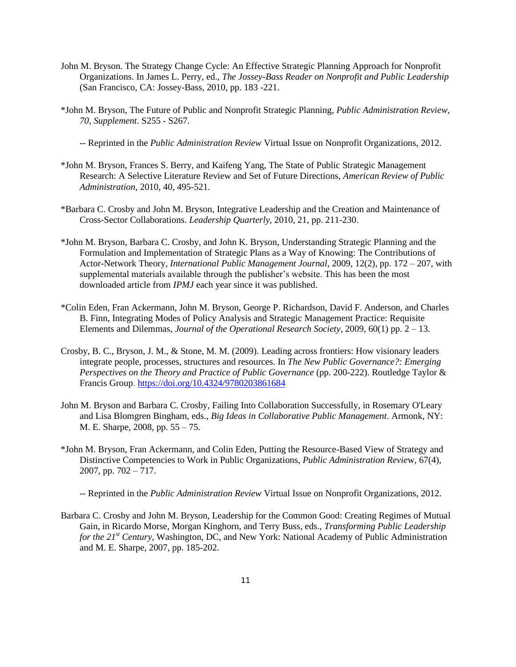- John M. Bryson. The Strategy Change Cycle: An Effective Strategic Planning Approach for Nonprofit Organizations. In James L. Perry, ed., *The Jossey-Bass Reader on Nonprofit and Public Leadership* (San Francisco, CA: Jossey-Bass, 2010, pp. 183 -221.
- \*John M. Bryson, The Future of Public and Nonprofit Strategic Planning, *Public Administration Review, 70, Supplement*. S255 - S267.

-- Reprinted in the *Public Administration Review* Virtual Issue on Nonprofit Organizations, 2012.

- \*John M. Bryson, Frances S. Berry, and Kaifeng Yang, The State of Public Strategic Management Research: A Selective Literature Review and Set of Future Directions, *American Review of Public Administration,* 2010, 40, 495-521.
- \*Barbara C. Crosby and John M. Bryson, Integrative Leadership and the Creation and Maintenance of Cross-Sector Collaborations. *Leadership Quarterly,* 2010, 21, pp. 211-230.
- \*John M. Bryson, Barbara C. Crosby, and John K. Bryson, Understanding Strategic Planning and the Formulation and Implementation of Strategic Plans as a Way of Knowing: The Contributions of Actor-Network Theory, *International Public Management Journal*, 2009, 12(2), pp. 172 – 207, with supplemental materials available through the publisher's website. This has been the most downloaded article from *IPMJ* each year since it was published.
- \*Colin Eden, Fran Ackermann, John M. Bryson, George P. Richardson, David F. Anderson, and Charles B. Finn, Integrating Modes of Policy Analysis and Strategic Management Practice: Requisite Elements and Dilemmas, *Journal of the Operational Research Society*, 2009, 60(1) pp. 2 – 13.
- Crosby, B. C., Bryson, J. M., & Stone, M. M. (2009). Leading across frontiers: How visionary leaders integrate people, processes, structures and resources. In *The New Public Governance?: Emerging Perspectives on the Theory and Practice of Public Governance* (pp. 200-222). Routledge Taylor & Francis Group. <https://doi.org/10.4324/9780203861684>
- John M. Bryson and Barbara C. Crosby, Failing Into Collaboration Successfully, in Rosemary O'Leary and Lisa Blomgren Bingham, eds., *Big Ideas in Collaborative Public Management*. Armonk, NY: M. E. Sharpe, 2008, pp. 55 – 75.
- \*John M. Bryson, Fran Ackermann, and Colin Eden, Putting the Resource-Based View of Strategy and Distinctive Competencies to Work in Public Organizations, *Public Administration Revie*w, 67(4), 2007, pp. 702 – 717.

-- Reprinted in the *Public Administration Review* Virtual Issue on Nonprofit Organizations, 2012.

Barbara C. Crosby and John M. Bryson, Leadership for the Common Good: Creating Regimes of Mutual Gain, in Ricardo Morse, Morgan Kinghorn, and Terry Buss, eds., *Transforming Public Leadership for the 21st Century*, Washington, DC, and New York: National Academy of Public Administration and M. E. Sharpe, 2007, pp. 185-202.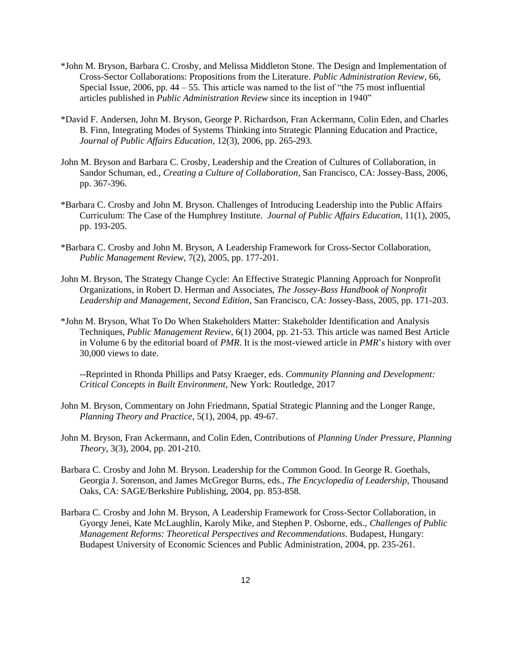- \*John M. Bryson, Barbara C. Crosby, and Melissa Middleton Stone. The Design and Implementation of Cross-Sector Collaborations: Propositions from the Literature. *Public Administration Review*, 66, Special Issue, 2006, pp.  $44 - 55$ . This article was named to the list of "the 75 most influential articles published in *Public Administration Review* since its inception in 1940"
- \*David F. Andersen, John M. Bryson, George P. Richardson, Fran Ackermann, Colin Eden, and Charles B. Finn, Integrating Modes of Systems Thinking into Strategic Planning Education and Practice, *Journal of Public Affairs Education*, 12(3), 2006, pp. 265-293.
- John M. Bryson and Barbara C. Crosby, Leadership and the Creation of Cultures of Collaboration, in Sandor Schuman, ed., *Creating a Culture of Collaboration*, San Francisco, CA: Jossey-Bass, 2006, pp. 367-396.
- \*Barbara C. Crosby and John M. Bryson. Challenges of Introducing Leadership into the Public Affairs Curriculum: The Case of the Humphrey Institute. *Journal of Public Affairs Education*, 11(1), 2005, pp. 193-205.
- \*Barbara C. Crosby and John M. Bryson, A Leadership Framework for Cross-Sector Collaboration, *Public Management Review*, 7(2), 2005, pp. 177-201.
- John M. Bryson, The Strategy Change Cycle: An Effective Strategic Planning Approach for Nonprofit Organizations, in Robert D. Herman and Associates, *The Jossey-Bass Handbook of Nonprofit Leadership and Management, Second Edition*, San Francisco, CA: Jossey-Bass, 2005, pp. 171-203.
- \*John M. Bryson, What To Do When Stakeholders Matter: Stakeholder Identification and Analysis Techniques, *Public Management Review*, 6(1) 2004, pp. 21-53. This article was named Best Article in Volume 6 by the editorial board of *PMR*. It is the most-viewed article in *PMR*'s history with over 30,000 views to date.

--Reprinted in Rhonda Phillips and Patsy Kraeger, eds. *Community Planning and Development: Critical Concepts in Built Environment*, New York: Routledge, 2017

- John M. Bryson, Commentary on John Friedmann, Spatial Strategic Planning and the Longer Range, *Planning Theory and Practice*, 5(1), 2004, pp. 49-67.
- John M. Bryson, Fran Ackermann, and Colin Eden, Contributions of *Planning Under Pressure*, *Planning Theory*, 3(3), 2004, pp. 201-210.
- Barbara C. Crosby and John M. Bryson. Leadership for the Common Good. In George R. Goethals, Georgia J. Sorenson, and James McGregor Burns, eds., *The Encyclopedia of Leadership*, Thousand Oaks, CA: SAGE/Berkshire Publishing, 2004, pp. 853-858.
- Barbara C. Crosby and John M. Bryson, A Leadership Framework for Cross-Sector Collaboration, in Gyorgy Jenei, Kate McLaughlin, Karoly Mike, and Stephen P. Osborne, eds., *Challenges of Public Management Reforms: Theoretical Perspectives and Recommendations*. Budapest, Hungary: Budapest University of Economic Sciences and Public Administration, 2004, pp. 235-261.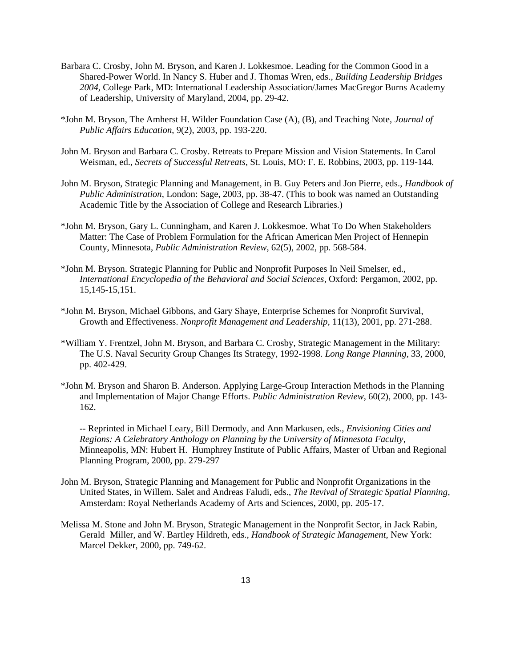- Barbara C. Crosby, John M. Bryson, and Karen J. Lokkesmoe. Leading for the Common Good in a Shared-Power World. In Nancy S. Huber and J. Thomas Wren, eds., *Building Leadership Bridges 2004,* College Park, MD: International Leadership Association/James MacGregor Burns Academy of Leadership, University of Maryland, 2004, pp. 29-42.
- \*John M. Bryson, The Amherst H. Wilder Foundation Case (A), (B), and Teaching Note, *Journal of Public Affairs Education*, 9(2), 2003, pp. 193-220.
- John M. Bryson and Barbara C. Crosby. Retreats to Prepare Mission and Vision Statements. In Carol Weisman, ed., *Secrets of Successful Retreats*, St. Louis, MO: F. E. Robbins, 2003, pp. 119-144.
- John M. Bryson, Strategic Planning and Management, in B. Guy Peters and Jon Pierre, eds., *Handbook of Public Administration*, London: Sage, 2003, pp. 38-47. (This to book was named an Outstanding Academic Title by the Association of College and Research Libraries.)
- \*John M. Bryson, Gary L. Cunningham, and Karen J. Lokkesmoe. What To Do When Stakeholders Matter: The Case of Problem Formulation for the African American Men Project of Hennepin County, Minnesota, *Public Administration Review*, 62(5), 2002, pp. 568-584.
- \*John M. Bryson. Strategic Planning for Public and Nonprofit Purposes In Neil Smelser, ed., *International Encyclopedia of the Behavioral and Social Sciences*, Oxford: Pergamon, 2002, pp. 15,145-15,151.
- \*John M. Bryson, Michael Gibbons, and Gary Shaye, Enterprise Schemes for Nonprofit Survival, Growth and Effectiveness. *Nonprofit Management and Leadership*, 11(13), 2001, pp. 271-288.
- \*William Y. Frentzel, John M. Bryson, and Barbara C. Crosby, Strategic Management in the Military: The U.S. Naval Security Group Changes Its Strategy, 1992-1998. *Long Range Planning*, 33, 2000, pp. 402-429.
- \*John M. Bryson and Sharon B. Anderson. Applying Large-Group Interaction Methods in the Planning and Implementation of Major Change Efforts. *Public Administration Review*, 60(2), 2000, pp. 143- 162.

-- Reprinted in Michael Leary, Bill Dermody, and Ann Markusen, eds., *Envisioning Cities and Regions: A Celebratory Anthology on Planning by the University of Minnesota Faculty*, Minneapolis, MN: Hubert H. Humphrey Institute of Public Affairs, Master of Urban and Regional Planning Program, 2000, pp. 279-297

- John M. Bryson, Strategic Planning and Management for Public and Nonprofit Organizations in the United States, in Willem. Salet and Andreas Faludi, eds., *The Revival of Strategic Spatial Planning*, Amsterdam: Royal Netherlands Academy of Arts and Sciences, 2000, pp. 205-17.
- Melissa M. Stone and John M. Bryson, Strategic Management in the Nonprofit Sector, in Jack Rabin, Gerald Miller, and W. Bartley Hildreth, eds., *Handbook of Strategic Management,* New York: Marcel Dekker, 2000, pp. 749-62.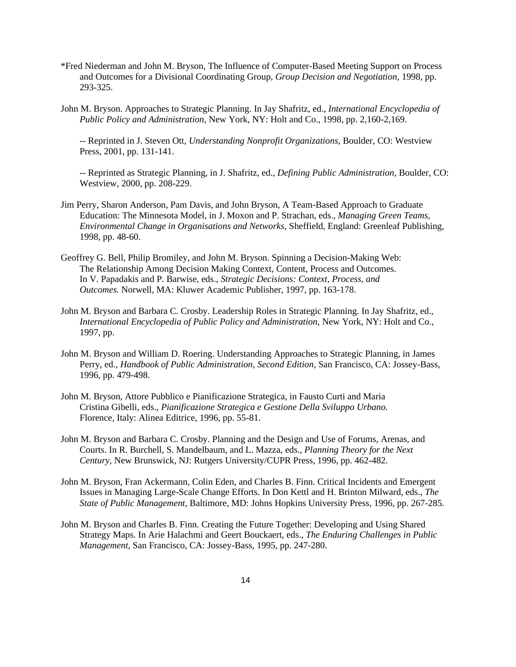- \*Fred Niederman and John M. Bryson, The Influence of Computer-Based Meeting Support on Process and Outcomes for a Divisional Coordinating Group, *Group Decision and Negotiation,* 1998, pp. 293-325.
- John M. Bryson. Approaches to Strategic Planning. In Jay Shafritz, ed., *International Encyclopedia of Public Policy and Administration,* New York, NY: Holt and Co., 1998, pp. 2,160-2,169.

-- Reprinted in J. Steven Ott, *Understanding Nonprofit Organizations*, Boulder, CO: Westview Press, 2001, pp. 131-141.

-- Reprinted as Strategic Planning, in J. Shafritz, ed., *Defining Public Administration*, Boulder, CO: Westview, 2000, pp. 208-229.

- Jim Perry, Sharon Anderson, Pam Davis, and John Bryson, A Team-Based Approach to Graduate Education: The Minnesota Model, in J. Moxon and P. Strachan, eds., *Managing Green Teams, Environmental Change in Organisations and Networks*, Sheffield, England: Greenleaf Publishing, 1998, pp. 48-60.
- Geoffrey G. Bell, Philip Bromiley, and John M. Bryson. Spinning a Decision-Making Web: The Relationship Among Decision Making Context, Content, Process and Outcomes. In V. Papadakis and P. Barwise, eds., *Strategic Decisions: Context, Process, and Outcomes.* Norwell, MA: Kluwer Academic Publisher, 1997, pp. 163-178.
- John M. Bryson and Barbara C. Crosby. Leadership Roles in Strategic Planning. In Jay Shafritz, ed., *International Encyclopedia of Public Policy and Administration,* New York, NY: Holt and Co., 1997, pp.
- John M. Bryson and William D. Roering. Understanding Approaches to Strategic Planning, in James Perry, ed., *Handbook of Public Administration, Second Edition,* San Francisco, CA: Jossey-Bass, 1996, pp. 479-498.
- John M. Bryson, Attore Pubblico e Pianificazione Strategica, in Fausto Curti and Maria Cristina Gibelli, eds., *Pianificazione Strategica e Gestione Della Sviluppo Urbano.*  Florence, Italy: Alinea Editrice, 1996, pp. 55-81.
- John M. Bryson and Barbara C. Crosby. Planning and the Design and Use of Forums, Arenas, and Courts. In R. Burchell, S. Mandelbaum, and L. Mazza, eds., *Planning Theory for the Next Century,* New Brunswick, NJ: Rutgers University/CUPR Press, 1996, pp. 462-482.
- John M. Bryson, Fran Ackermann, Colin Eden, and Charles B. Finn. Critical Incidents and Emergent Issues in Managing Large-Scale Change Efforts. In Don Kettl and H. Brinton Milward, eds., *The State of Public Management,* Baltimore, MD: Johns Hopkins University Press, 1996, pp. 267-285.
- John M. Bryson and Charles B. Finn. Creating the Future Together: Developing and Using Shared Strategy Maps. In Arie Halachmi and Geert Bouckaert, eds., *The Enduring Challenges in Public Management,* San Francisco, CA: Jossey-Bass, 1995, pp. 247-280.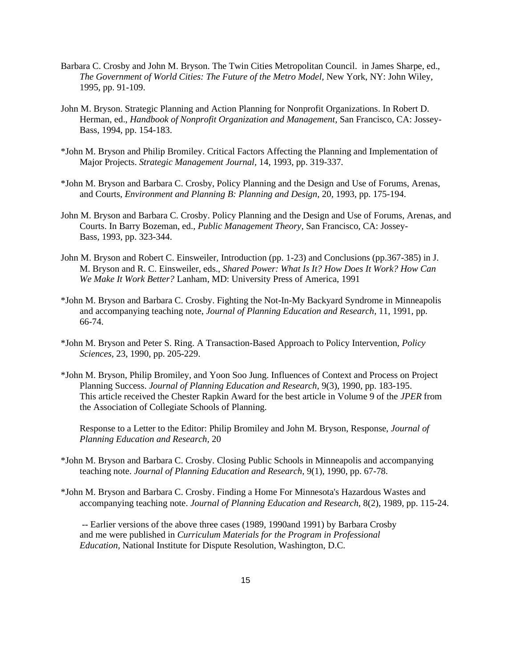- Barbara C. Crosby and John M. Bryson. The Twin Cities Metropolitan Council. in James Sharpe, ed., *The Government of World Cities: The Future of the Metro Model,* New York, NY: John Wiley, 1995, pp. 91-109.
- John M. Bryson. Strategic Planning and Action Planning for Nonprofit Organizations. In Robert D. Herman, ed., *Handbook of Nonprofit Organization and Management,* San Francisco, CA: Jossey-Bass, 1994, pp. 154-183.
- \*John M. Bryson and Philip Bromiley. Critical Factors Affecting the Planning and Implementation of Major Projects. *Strategic Management Journal,* 14, 1993, pp. 319-337.
- \*John M. Bryson and Barbara C. Crosby, Policy Planning and the Design and Use of Forums, Arenas, and Courts, *Environment and Planning B: Planning and Design,* 20, 1993, pp. 175-194.
- John M. Bryson and Barbara C. Crosby. Policy Planning and the Design and Use of Forums, Arenas, and Courts. In Barry Bozeman, ed., *Public Management Theory,* San Francisco, CA: Jossey-Bass, 1993, pp. 323-344.
- John M. Bryson and Robert C. Einsweiler, Introduction (pp. 1-23) and Conclusions (pp.367-385) in J. M. Bryson and R. C. Einsweiler, eds., *Shared Power: What Is It? How Does It Work? How Can We Make It Work Better?* Lanham, MD: University Press of America, 1991
- \*John M. Bryson and Barbara C. Crosby. Fighting the Not-In-My Backyard Syndrome in Minneapolis and accompanying teaching note, *Journal of Planning Education and Research*, 11, 1991, pp. 66-74.
- \*John M. Bryson and Peter S. Ring. A Transaction-Based Approach to Policy Intervention, *Policy Sciences,* 23, 1990, pp. 205-229.
- \*John M. Bryson, Philip Bromiley, and Yoon Soo Jung. Influences of Context and Process on Project Planning Success. *Journal of Planning Education and Research,* 9(3), 1990, pp. 183-195. This article received the Chester Rapkin Award for the best article in Volume 9 of the *JPER* from the Association of Collegiate Schools of Planning.

Response to a Letter to the Editor: Philip Bromiley and John M. Bryson, Response, *Journal of Planning Education and Research,* 20

- \*John M. Bryson and Barbara C. Crosby. Closing Public Schools in Minneapolis and accompanying teaching note. *Journal of Planning Education and Research,* 9(1), 1990, pp. 67-78.
- \*John M. Bryson and Barbara C. Crosby. Finding a Home For Minnesota's Hazardous Wastes and accompanying teaching note. *Journal of Planning Education and Research,* 8(2), 1989, pp. 115-24.

-- Earlier versions of the above three cases (1989, 1990and 1991) by Barbara Crosby and me were published in *Curriculum Materials for the Program in Professional Education,* National Institute for Dispute Resolution, Washington, D.C.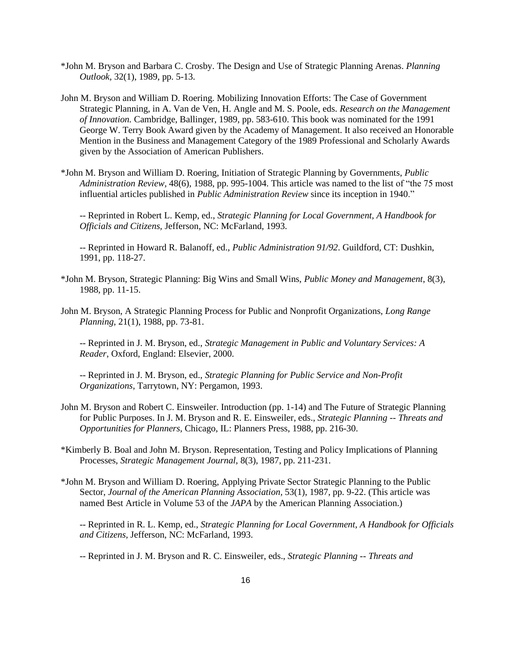- \*John M. Bryson and Barbara C. Crosby. The Design and Use of Strategic Planning Arenas. *Planning Outlook,* 32(1), 1989, pp. 5-13.
- John M. Bryson and William D. Roering. Mobilizing Innovation Efforts: The Case of Government Strategic Planning, in A. Van de Ven, H. Angle and M. S. Poole, eds. *Research on the Management of Innovation.* Cambridge, Ballinger, 1989, pp. 583-610. This book was nominated for the 1991 George W. Terry Book Award given by the Academy of Management. It also received an Honorable Mention in the Business and Management Category of the 1989 Professional and Scholarly Awards given by the Association of American Publishers.
- \*John M. Bryson and William D. Roering, Initiation of Strategic Planning by Governments, *Public Administration Review,* 48(6), 1988, pp. 995-1004. This article was named to the list of "the 75 most influential articles published in *Public Administration Review* since its inception in 1940."

-- Reprinted in Robert L. Kemp, ed., *Strategic Planning for Local Government, A Handbook for Officials and Citizens,* Jefferson, NC: McFarland, 1993.

-- Reprinted in Howard R. Balanoff, ed., *Public Administration 91/92*. Guildford, CT: Dushkin, 1991, pp. 118-27.

- \*John M. Bryson, Strategic Planning: Big Wins and Small Wins, *Public Money and Management*, 8(3), 1988, pp. 11-15.
- John M. Bryson, A Strategic Planning Process for Public and Nonprofit Organizations, *Long Range Planning*, 21(1), 1988, pp. 73-81.

-- Reprinted in J. M. Bryson, ed., *Strategic Management in Public and Voluntary Services: A Reader*, Oxford, England: Elsevier, 2000.

-- Reprinted in J. M. Bryson, ed., *Strategic Planning for Public Service and Non-Profit Organizations*, Tarrytown, NY: Pergamon, 1993.

- John M. Bryson and Robert C. Einsweiler. Introduction (pp. 1-14) and The Future of Strategic Planning for Public Purposes. In J. M. Bryson and R. E. Einsweiler, eds., *Strategic Planning -- Threats and Opportunities for Planners,* Chicago, IL: Planners Press, 1988, pp. 216-30.
- \*Kimberly B. Boal and John M. Bryson. Representation, Testing and Policy Implications of Planning Processes, *Strategic Management Journal,* 8(3), 1987, pp. 211-231.
- \*John M. Bryson and William D. Roering, Applying Private Sector Strategic Planning to the Public Sector, *Journal of the American Planning Association,* 53(1), 1987, pp. 9-22. (This article was named Best Article in Volume 53 of the *JAPA* by the American Planning Association.)

-- Reprinted in R. L. Kemp, ed., *Strategic Planning for Local Government, A Handbook for Officials and Citizens,* Jefferson, NC: McFarland, 1993.

-- Reprinted in J. M. Bryson and R. C. Einsweiler, eds., *Strategic Planning -- Threats and*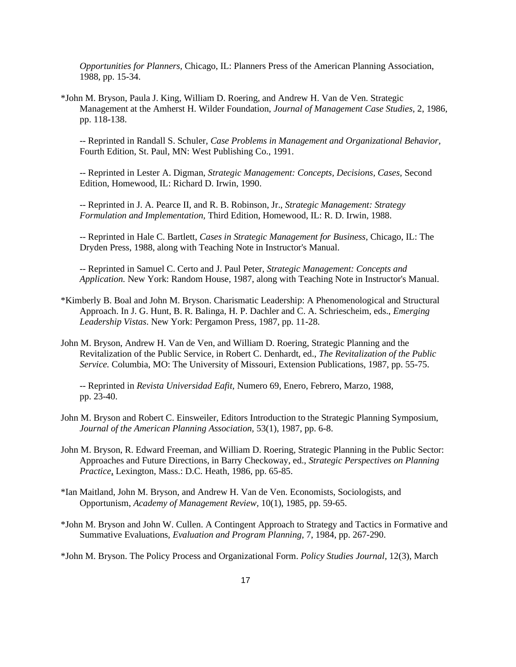*Opportunities for Planners,* Chicago, IL: Planners Press of the American Planning Association, 1988, pp. 15-34.

\*John M. Bryson, Paula J. King, William D. Roering, and Andrew H. Van de Ven. Strategic Management at the Amherst H. Wilder Foundation, *Journal of Management Case Studies,* 2, 1986, pp. 118-138.

-- Reprinted in Randall S. Schuler, *Case Problems in Management and Organizational Behavior,*  Fourth Edition, St. Paul, MN: West Publishing Co., 1991.

-- Reprinted in Lester A. Digman, *Strategic Management: Concepts, Decisions, Cases,* Second Edition, Homewood, IL: Richard D. Irwin, 1990.

-- Reprinted in J. A. Pearce II, and R. B. Robinson, Jr., *Strategic Management: Strategy Formulation and Implementation,* Third Edition, Homewood, IL: R. D. Irwin, 1988.

-- Reprinted in Hale C. Bartlett, *Cases in Strategic Management for Business,* Chicago, IL: The Dryden Press, 1988, along with Teaching Note in Instructor's Manual.

-- Reprinted in Samuel C. Certo and J. Paul Peter, *Strategic Management: Concepts and Application.* New York: Random House, 1987, along with Teaching Note in Instructor's Manual.

- \*Kimberly B. Boal and John M. Bryson. Charismatic Leadership: A Phenomenological and Structural Approach. In J. G. Hunt, B. R. Balinga, H. P. Dachler and C. A. Schriescheim, eds., *Emerging Leadership Vistas*. New York: Pergamon Press, 1987, pp. 11-28.
- John M. Bryson, Andrew H. Van de Ven, and William D. Roering, Strategic Planning and the Revitalization of the Public Service, in Robert C. Denhardt, ed., *The Revitalization of the Public Service.* Columbia, MO: The University of Missouri, Extension Publications, 1987, pp. 55-75.

-- Reprinted in *Revista Universidad Eafit,* Numero 69, Enero, Febrero, Marzo, 1988, pp. 23-40.

- John M. Bryson and Robert C. Einsweiler, Editors Introduction to the Strategic Planning Symposium, *Journal of the American Planning Association,* 53(1), 1987, pp. 6-8.
- John M. Bryson, R. Edward Freeman, and William D. Roering, Strategic Planning in the Public Sector: Approaches and Future Directions, in Barry Checkoway, ed., *Strategic Perspectives on Planning Practice,* Lexington, Mass.: D.C. Heath, 1986, pp. 65-85.
- \*Ian Maitland, John M. Bryson, and Andrew H. Van de Ven. Economists, Sociologists, and Opportunism, *Academy of Management Review,* 10(1), 1985, pp. 59-65.
- \*John M. Bryson and John W. Cullen. A Contingent Approach to Strategy and Tactics in Formative and Summative Evaluations, *Evaluation and Program Planning,* 7, 1984, pp. 267-290.

\*John M. Bryson. The Policy Process and Organizational Form. *Policy Studies Journal,* 12(3), March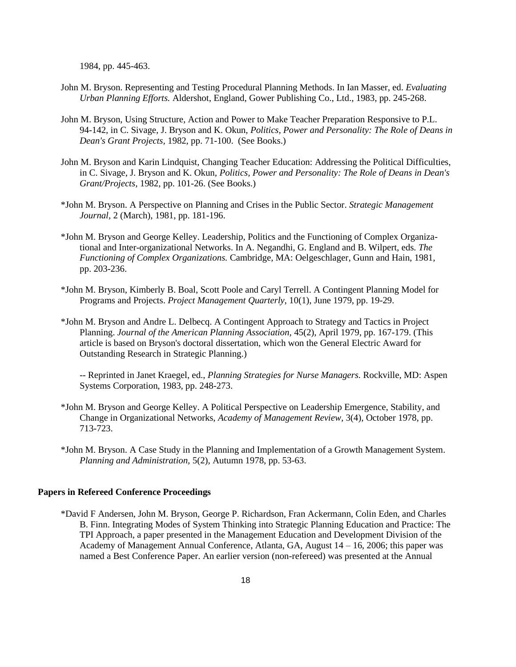1984, pp. 445-463.

- John M. Bryson. Representing and Testing Procedural Planning Methods. In Ian Masser, ed. *Evaluating Urban Planning Efforts.* Aldershot, England, Gower Publishing Co., Ltd., 1983, pp. 245-268.
- John M. Bryson, Using Structure, Action and Power to Make Teacher Preparation Responsive to P.L. 94-142, in C. Sivage, J. Bryson and K. Okun, *Politics, Power and Personality: The Role of Deans in Dean's Grant Projects,* 1982, pp. 71-100. (See Books.)
- John M. Bryson and Karin Lindquist, Changing Teacher Education: Addressing the Political Difficulties, in C. Sivage, J. Bryson and K. Okun, *Politics, Power and Personality: The Role of Deans in Dean's Grant/Projects,* 1982, pp. 101-26. (See Books.)
- \*John M. Bryson. A Perspective on Planning and Crises in the Public Sector. *Strategic Management Journal,* 2 (March), 1981, pp. 181-196.
- \*John M. Bryson and George Kelley. Leadership, Politics and the Functioning of Complex Organizational and Inter-organizational Networks. In A. Negandhi, G. England and B. Wilpert, eds. *The Functioning of Complex Organizations.* Cambridge, MA: Oelgeschlager, Gunn and Hain, 1981, pp. 203-236.
- \*John M. Bryson, Kimberly B. Boal, Scott Poole and Caryl Terrell. A Contingent Planning Model for Programs and Projects. *Project Management Quarterly*, 10(1), June 1979, pp. 19-29.
- \*John M. Bryson and Andre L. Delbecq. A Contingent Approach to Strategy and Tactics in Project Planning. *Journal of the American Planning Association,* 45(2), April 1979, pp. 167-179. (This article is based on Bryson's doctoral dissertation, which won the General Electric Award for Outstanding Research in Strategic Planning.)

-- Reprinted in Janet Kraegel, ed., *Planning Strategies for Nurse Managers.* Rockville, MD: Aspen Systems Corporation, 1983, pp. 248-273.

- \*John M. Bryson and George Kelley. A Political Perspective on Leadership Emergence, Stability, and Change in Organizational Networks, *Academy of Management Review,* 3(4), October 1978, pp. 713-723.
- \*John M. Bryson. A Case Study in the Planning and Implementation of a Growth Management System. *Planning and Administration,* 5(2), Autumn 1978, pp. 53-63.

#### **Papers in Refereed Conference Proceedings**

\*David F Andersen, John M. Bryson, George P. Richardson, Fran Ackermann, Colin Eden, and Charles B. Finn. Integrating Modes of System Thinking into Strategic Planning Education and Practice: The TPI Approach, a paper presented in the Management Education and Development Division of the Academy of Management Annual Conference, Atlanta, GA, August 14 – 16, 2006; this paper was named a Best Conference Paper. An earlier version (non-refereed) was presented at the Annual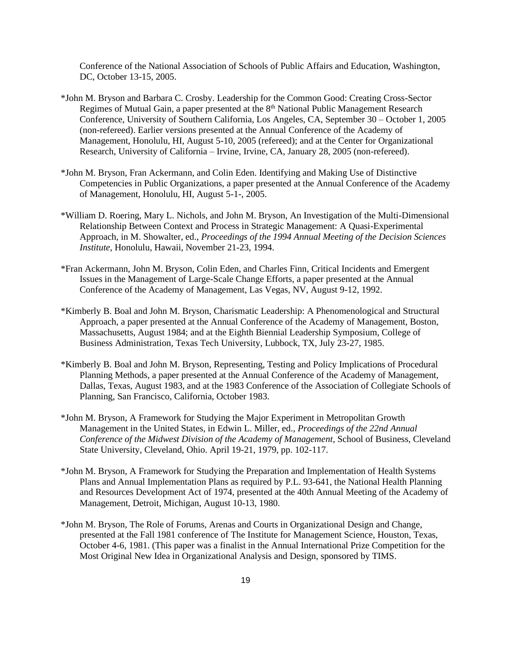Conference of the National Association of Schools of Public Affairs and Education, Washington, DC, October 13-15, 2005.

- \*John M. Bryson and Barbara C. Crosby. Leadership for the Common Good: Creating Cross-Sector Regimes of Mutual Gain, a paper presented at the 8<sup>th</sup> National Public Management Research Conference, University of Southern California, Los Angeles, CA, September 30 – October 1, 2005 (non-refereed). Earlier versions presented at the Annual Conference of the Academy of Management, Honolulu, HI, August 5-10, 2005 (refereed); and at the Center for Organizational Research, University of California – Irvine, Irvine, CA, January 28, 2005 (non-refereed).
- \*John M. Bryson, Fran Ackermann, and Colin Eden. Identifying and Making Use of Distinctive Competencies in Public Organizations, a paper presented at the Annual Conference of the Academy of Management, Honolulu, HI, August 5-1-, 2005.
- \*William D. Roering, Mary L. Nichols, and John M. Bryson, An Investigation of the Multi-Dimensional Relationship Between Context and Process in Strategic Management: A Quasi-Experimental Approach, in M. Showalter, ed., *Proceedings of the 1994 Annual Meeting of the Decision Sciences Institute,* Honolulu, Hawaii, November 21-23, 1994.
- \*Fran Ackermann, John M. Bryson, Colin Eden, and Charles Finn, Critical Incidents and Emergent Issues in the Management of Large-Scale Change Efforts, a paper presented at the Annual Conference of the Academy of Management, Las Vegas, NV, August 9-12, 1992.
- \*Kimberly B. Boal and John M. Bryson, Charismatic Leadership: A Phenomenological and Structural Approach, a paper presented at the Annual Conference of the Academy of Management, Boston, Massachusetts, August 1984; and at the Eighth Biennial Leadership Symposium, College of Business Administration, Texas Tech University, Lubbock, TX, July 23-27, 1985.
- \*Kimberly B. Boal and John M. Bryson, Representing, Testing and Policy Implications of Procedural Planning Methods, a paper presented at the Annual Conference of the Academy of Management, Dallas, Texas, August 1983, and at the 1983 Conference of the Association of Collegiate Schools of Planning, San Francisco, California, October 1983.
- \*John M. Bryson, A Framework for Studying the Major Experiment in Metropolitan Growth Management in the United States, in Edwin L. Miller, ed., *Proceedings of the 22nd Annual Conference of the Midwest Division of the Academy of Management,* School of Business, Cleveland State University, Cleveland, Ohio. April 19-21, 1979, pp. 102-117.
- \*John M. Bryson, A Framework for Studying the Preparation and Implementation of Health Systems Plans and Annual Implementation Plans as required by P.L. 93-641, the National Health Planning and Resources Development Act of 1974, presented at the 40th Annual Meeting of the Academy of Management, Detroit, Michigan, August 10-13, 1980.
- \*John M. Bryson, The Role of Forums, Arenas and Courts in Organizational Design and Change, presented at the Fall 1981 conference of The Institute for Management Science, Houston, Texas, October 4-6, 1981. (This paper was a finalist in the Annual International Prize Competition for the Most Original New Idea in Organizational Analysis and Design, sponsored by TIMS.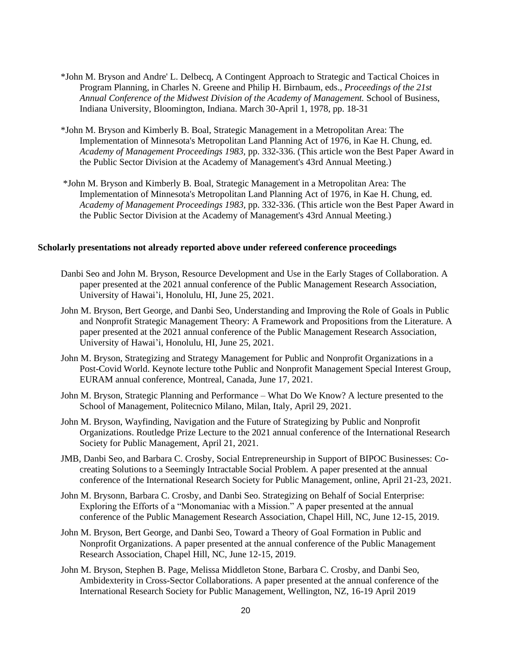- \*John M. Bryson and Andre' L. Delbecq, A Contingent Approach to Strategic and Tactical Choices in Program Planning, in Charles N. Greene and Philip H. Birnbaum, eds., *Proceedings of the 21st Annual Conference of the Midwest Division of the Academy of Management.* School of Business, Indiana University, Bloomington, Indiana. March 30-April 1, 1978, pp. 18-31
- \*John M. Bryson and Kimberly B. Boal, Strategic Management in a Metropolitan Area: The Implementation of Minnesota's Metropolitan Land Planning Act of 1976, in Kae H. Chung, ed. *Academy of Management Proceedings 1983,* pp. 332-336. (This article won the Best Paper Award in the Public Sector Division at the Academy of Management's 43rd Annual Meeting.)
- \*John M. Bryson and Kimberly B. Boal, Strategic Management in a Metropolitan Area: The Implementation of Minnesota's Metropolitan Land Planning Act of 1976, in Kae H. Chung, ed. *Academy of Management Proceedings 1983,* pp. 332-336. (This article won the Best Paper Award in the Public Sector Division at the Academy of Management's 43rd Annual Meeting.)

## **Scholarly presentations not already reported above under refereed conference proceedings**

- Danbi Seo and John M. Bryson, Resource Development and Use in the Early Stages of Collaboration. A paper presented at the 2021 annual conference of the Public Management Research Association, University of Hawai'i, Honolulu, HI, June 25, 2021.
- John M. Bryson, Bert George, and Danbi Seo, Understanding and Improving the Role of Goals in Public and Nonprofit Strategic Management Theory: A Framework and Propositions from the Literature. A paper presented at the 2021 annual conference of the Public Management Research Association, University of Hawai'i, Honolulu, HI, June 25, 2021.
- John M. Bryson, Strategizing and Strategy Management for Public and Nonprofit Organizations in a Post-Covid World. Keynote lecture tothe Public and Nonprofit Management Special Interest Group, EURAM annual conference, Montreal, Canada, June 17, 2021.
- John M. Bryson, Strategic Planning and Performance What Do We Know? A lecture presented to the School of Management, Politecnico Milano, Milan, Italy, April 29, 2021.
- John M. Bryson, Wayfinding, Navigation and the Future of Strategizing by Public and Nonprofit Organizations. Routledge Prize Lecture to the 2021 annual conference of the International Research Society for Public Management, April 21, 2021.
- JMB, Danbi Seo, and Barbara C. Crosby, Social Entrepreneurship in Support of BIPOC Businesses: Cocreating Solutions to a Seemingly Intractable Social Problem. A paper presented at the annual conference of the International Research Society for Public Management, online, April 21-23, 2021.
- John M. Brysonn, Barbara C. Crosby, and Danbi Seo. Strategizing on Behalf of Social Enterprise: Exploring the Efforts of a "Monomaniac with a Mission." A paper presented at the annual conference of the Public Management Research Association, Chapel Hill, NC, June 12-15, 2019.
- John M. Bryson, Bert George, and Danbi Seo, Toward a Theory of Goal Formation in Public and Nonprofit Organizations. A paper presented at the annual conference of the Public Management Research Association, Chapel Hill, NC, June 12-15, 2019.
- John M. Bryson, Stephen B. Page, Melissa Middleton Stone, Barbara C. Crosby, and Danbi Seo, Ambidexterity in Cross-Sector Collaborations. A paper presented at the annual conference of the International Research Society for Public Management, Wellington, NZ, 16-19 April 2019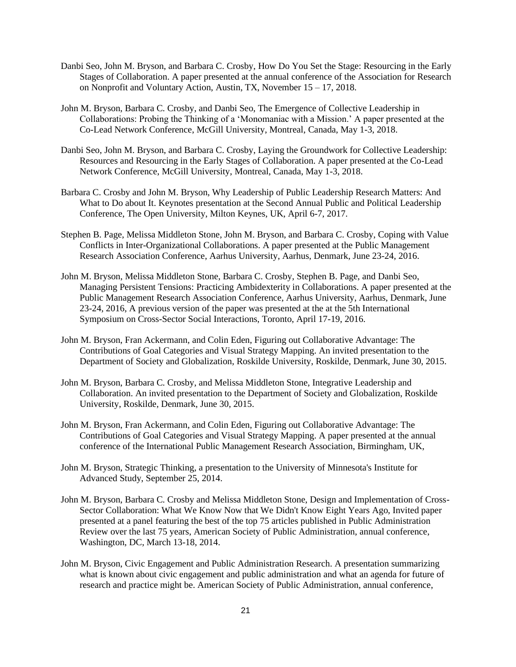- Danbi Seo, John M. Bryson, and Barbara C. Crosby, How Do You Set the Stage: Resourcing in the Early Stages of Collaboration. A paper presented at the annual conference of the Association for Research on Nonprofit and Voluntary Action, Austin, TX, November 15 – 17, 2018.
- John M. Bryson, Barbara C. Crosby, and Danbi Seo, The Emergence of Collective Leadership in Collaborations: Probing the Thinking of a 'Monomaniac with a Mission.' A paper presented at the Co-Lead Network Conference, McGill University, Montreal, Canada, May 1-3, 2018.
- Danbi Seo, John M. Bryson, and Barbara C. Crosby, Laying the Groundwork for Collective Leadership: Resources and Resourcing in the Early Stages of Collaboration. A paper presented at the Co-Lead Network Conference, McGill University, Montreal, Canada, May 1-3, 2018.
- Barbara C. Crosby and John M. Bryson, Why Leadership of Public Leadership Research Matters: And What to Do about It. Keynotes presentation at the Second Annual Public and Political Leadership Conference, The Open University, Milton Keynes, UK, April 6-7, 2017.
- Stephen B. Page, Melissa Middleton Stone, John M. Bryson, and Barbara C. Crosby, Coping with Value Conflicts in Inter-Organizational Collaborations. A paper presented at the Public Management Research Association Conference, Aarhus University, Aarhus, Denmark, June 23-24, 2016.
- John M. Bryson, Melissa Middleton Stone, Barbara C. Crosby, Stephen B. Page, and Danbi Seo, Managing Persistent Tensions: Practicing Ambidexterity in Collaborations. A paper presented at the Public Management Research Association Conference, Aarhus University, Aarhus, Denmark, June 23-24, 2016, A previous version of the paper was presented at the at the 5th International Symposium on Cross-Sector Social Interactions, Toronto, April 17-19, 2016.
- John M. Bryson, Fran Ackermann, and Colin Eden, Figuring out Collaborative Advantage: The Contributions of Goal Categories and Visual Strategy Mapping. An invited presentation to the Department of Society and Globalization, Roskilde University, Roskilde, Denmark, June 30, 2015.
- John M. Bryson, Barbara C. Crosby, and Melissa Middleton Stone, Integrative Leadership and Collaboration. An invited presentation to the Department of Society and Globalization, Roskilde University, Roskilde, Denmark, June 30, 2015.
- John M. Bryson, Fran Ackermann, and Colin Eden, Figuring out Collaborative Advantage: The Contributions of Goal Categories and Visual Strategy Mapping. A paper presented at the annual conference of the International Public Management Research Association, Birmingham, UK,
- John M. Bryson, Strategic Thinking, a presentation to the University of Minnesota's Institute for Advanced Study, September 25, 2014.
- John M. Bryson, Barbara C. Crosby and Melissa Middleton Stone, Design and Implementation of Cross-Sector Collaboration: What We Know Now that We Didn't Know Eight Years Ago, Invited paper presented at a panel featuring the best of the top 75 articles published in Public Administration Review over the last 75 years, American Society of Public Administration, annual conference, Washington, DC, March 13-18, 2014.
- John M. Bryson, Civic Engagement and Public Administration Research. A presentation summarizing what is known about civic engagement and public administration and what an agenda for future of research and practice might be. American Society of Public Administration, annual conference,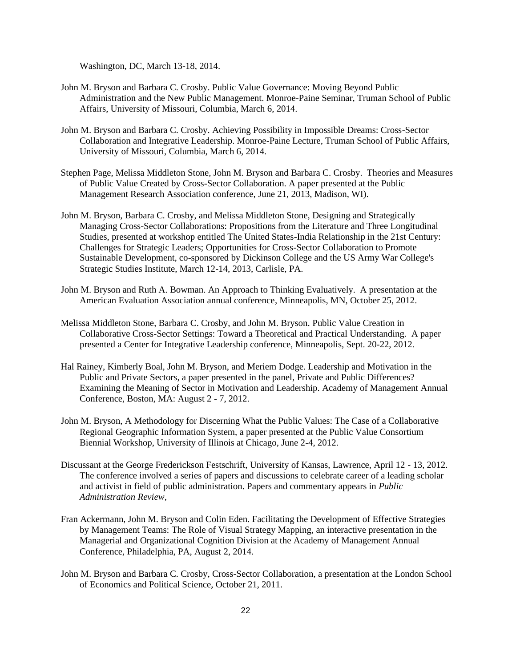Washington, DC, March 13-18, 2014.

- John M. Bryson and Barbara C. Crosby. Public Value Governance: Moving Beyond Public Administration and the New Public Management. Monroe-Paine Seminar, Truman School of Public Affairs, University of Missouri, Columbia, March 6, 2014.
- John M. Bryson and Barbara C. Crosby. Achieving Possibility in Impossible Dreams: Cross-Sector Collaboration and Integrative Leadership. Monroe-Paine Lecture, Truman School of Public Affairs, University of Missouri, Columbia, March 6, 2014.
- Stephen Page, Melissa Middleton Stone, John M. Bryson and Barbara C. Crosby. Theories and Measures of Public Value Created by Cross-Sector Collaboration. A paper presented at the Public Management Research Association conference, June 21, 2013, Madison, WI).
- John M. Bryson, Barbara C. Crosby, and Melissa Middleton Stone, Designing and Strategically Managing Cross-Sector Collaborations: Propositions from the Literature and Three Longitudinal Studies, presented at workshop entitled The United States-India Relationship in the 21st Century: Challenges for Strategic Leaders; Opportunities for Cross-Sector Collaboration to Promote Sustainable Development, co-sponsored by Dickinson College and the US Army War College's Strategic Studies Institute, March 12-14, 2013, Carlisle, PA.
- John M. Bryson and Ruth A. Bowman. An Approach to Thinking Evaluatively. A presentation at the American Evaluation Association annual conference, Minneapolis, MN, October 25, 2012.
- Melissa Middleton Stone, Barbara C. Crosby, and John M. Bryson. Public Value Creation in Collaborative Cross-Sector Settings: Toward a Theoretical and Practical Understanding. A paper presented a Center for Integrative Leadership conference, Minneapolis, Sept. 20-22, 2012.
- Hal Rainey, Kimberly Boal, John M. Bryson, and Meriem Dodge. Leadership and Motivation in the Public and Private Sectors, a paper presented in the panel, Private and Public Differences? Examining the Meaning of Sector in Motivation and Leadership. Academy of Management Annual Conference, Boston, MA: August 2 - 7, 2012.
- John M. Bryson, A Methodology for Discerning What the Public Values: The Case of a Collaborative Regional Geographic Information System, a paper presented at the Public Value Consortium Biennial Workshop, University of Illinois at Chicago, June 2-4, 2012.
- Discussant at the George Frederickson Festschrift, University of Kansas, Lawrence, April 12 13, 2012. The conference involved a series of papers and discussions to celebrate career of a leading scholar and activist in field of public administration. Papers and commentary appears in *Public Administration Review,*
- Fran Ackermann, John M. Bryson and Colin Eden. Facilitating the Development of Effective Strategies by Management Teams: The Role of Visual Strategy Mapping, an interactive presentation in the Managerial and Organizational Cognition Division at the Academy of Management Annual Conference, Philadelphia, PA, August 2, 2014.
- John M. Bryson and Barbara C. Crosby, Cross-Sector Collaboration, a presentation at the London School of Economics and Political Science, October 21, 2011.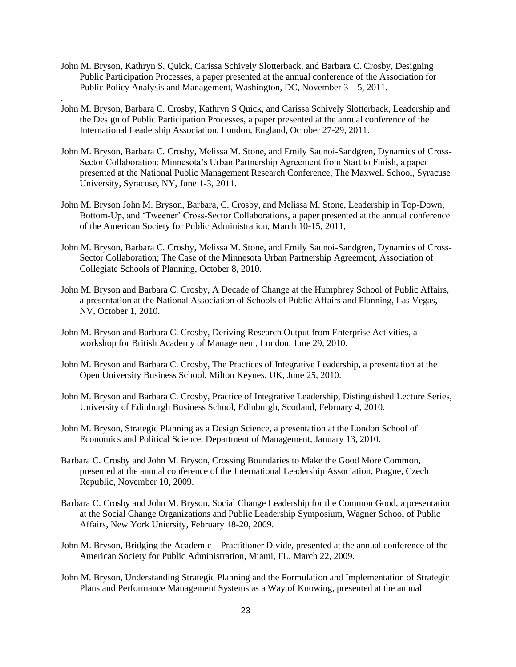John M. Bryson, Kathryn S. Quick, Carissa Schively Slotterback, and Barbara C. Crosby, Designing Public Participation Processes, a paper presented at the annual conference of the Association for Public Policy Analysis and Management, Washington, DC, November 3 – 5, 2011.

.

- John M. Bryson, Barbara C. Crosby, Kathryn S Quick, and Carissa Schively Slotterback, Leadership and the Design of Public Participation Processes, a paper presented at the annual conference of the International Leadership Association, London, England, October 27-29, 2011.
- John M. Bryson, Barbara C. Crosby, Melissa M. Stone, and Emily Saunoi-Sandgren, Dynamics of Cross-Sector Collaboration: Minnesota's Urban Partnership Agreement from Start to Finish, a paper presented at the National Public Management Research Conference, The Maxwell School, Syracuse University, Syracuse, NY, June 1-3, 2011.
- John M. Bryson John M. Bryson, Barbara, C. Crosby, and Melissa M. Stone, Leadership in Top-Down, Bottom-Up, and 'Tweener' Cross-Sector Collaborations, a paper presented at the annual conference of the American Society for Public Administration, March 10-15, 2011,
- John M. Bryson, Barbara C. Crosby, Melissa M. Stone, and Emily Saunoi-Sandgren, Dynamics of Cross-Sector Collaboration; The Case of the Minnesota Urban Partnership Agreement, Association of Collegiate Schools of Planning, October 8, 2010.
- John M. Bryson and Barbara C. Crosby, A Decade of Change at the Humphrey School of Public Affairs, a presentation at the National Association of Schools of Public Affairs and Planning, Las Vegas, NV, October 1, 2010.
- John M. Bryson and Barbara C. Crosby, Deriving Research Output from Enterprise Activities, a workshop for British Academy of Management, London, June 29, 2010.
- John M. Bryson and Barbara C. Crosby, The Practices of Integrative Leadership, a presentation at the Open University Business School, Milton Keynes, UK, June 25, 2010.
- John M. Bryson and Barbara C. Crosby, Practice of Integrative Leadership, Distinguished Lecture Series, University of Edinburgh Business School, Edinburgh, Scotland, February 4, 2010.
- John M. Bryson, Strategic Planning as a Design Science, a presentation at the London School of Economics and Political Science, Department of Management, January 13, 2010.
- Barbara C. Crosby and John M. Bryson, Crossing Boundaries to Make the Good More Common, presented at the annual conference of the International Leadership Association, Prague, Czech Republic, November 10, 2009.
- Barbara C. Crosby and John M. Bryson, Social Change Leadership for the Common Good, a presentation at the Social Change Organizations and Public Leadership Symposium, Wagner School of Public Affairs, New York Uniersity, February 18-20, 2009.
- John M. Bryson, Bridging the Academic Practitioner Divide, presented at the annual conference of the American Society for Public Administration, Miami, FL, March 22, 2009.
- John M. Bryson, Understanding Strategic Planning and the Formulation and Implementation of Strategic Plans and Performance Management Systems as a Way of Knowing, presented at the annual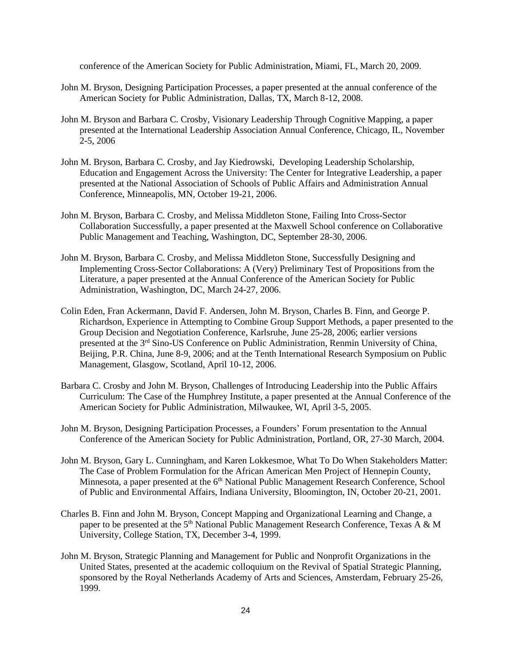conference of the American Society for Public Administration, Miami, FL, March 20, 2009.

- John M. Bryson, Designing Participation Processes, a paper presented at the annual conference of the American Society for Public Administration, Dallas, TX, March 8-12, 2008.
- John M. Bryson and Barbara C. Crosby, Visionary Leadership Through Cognitive Mapping, a paper presented at the International Leadership Association Annual Conference, Chicago, IL, November 2-5, 2006
- John M. Bryson, Barbara C. Crosby, and Jay Kiedrowski, Developing Leadership Scholarship, Education and Engagement Across the University: The Center for Integrative Leadership, a paper presented at the National Association of Schools of Public Affairs and Administration Annual Conference, Minneapolis, MN, October 19-21, 2006.
- John M. Bryson, Barbara C. Crosby, and Melissa Middleton Stone, Failing Into Cross-Sector Collaboration Successfully, a paper presented at the Maxwell School conference on Collaborative Public Management and Teaching, Washington, DC, September 28-30, 2006.
- John M. Bryson, Barbara C. Crosby, and Melissa Middleton Stone, Successfully Designing and Implementing Cross-Sector Collaborations: A (Very) Preliminary Test of Propositions from the Literature, a paper presented at the Annual Conference of the American Society for Public Administration, Washington, DC, March 24-27, 2006.
- Colin Eden, Fran Ackermann, David F. Andersen, John M. Bryson, Charles B. Finn, and George P. Richardson, Experience in Attempting to Combine Group Support Methods, a paper presented to the Group Decision and Negotiation Conference, Karlsruhe, June 25-28, 2006; earlier versions presented at the 3rd Sino-US Conference on Public Administration, Renmin University of China, Beijing, P.R. China, June 8-9, 2006; and at the Tenth International Research Symposium on Public Management, Glasgow, Scotland, April 10-12, 2006.
- Barbara C. Crosby and John M. Bryson, Challenges of Introducing Leadership into the Public Affairs Curriculum: The Case of the Humphrey Institute, a paper presented at the Annual Conference of the American Society for Public Administration, Milwaukee, WI, April 3-5, 2005.
- John M. Bryson, Designing Participation Processes, a Founders' Forum presentation to the Annual Conference of the American Society for Public Administration, Portland, OR, 27-30 March, 2004.
- John M. Bryson, Gary L. Cunningham, and Karen Lokkesmoe, What To Do When Stakeholders Matter: The Case of Problem Formulation for the African American Men Project of Hennepin County, Minnesota, a paper presented at the 6<sup>th</sup> National Public Management Research Conference, School of Public and Environmental Affairs, Indiana University, Bloomington, IN, October 20-21, 2001.
- Charles B. Finn and John M. Bryson, Concept Mapping and Organizational Learning and Change, a paper to be presented at the 5<sup>th</sup> National Public Management Research Conference, Texas A & M University, College Station, TX, December 3-4, 1999.
- John M. Bryson, Strategic Planning and Management for Public and Nonprofit Organizations in the United States, presented at the academic colloquium on the Revival of Spatial Strategic Planning, sponsored by the Royal Netherlands Academy of Arts and Sciences, Amsterdam, February 25-26, 1999.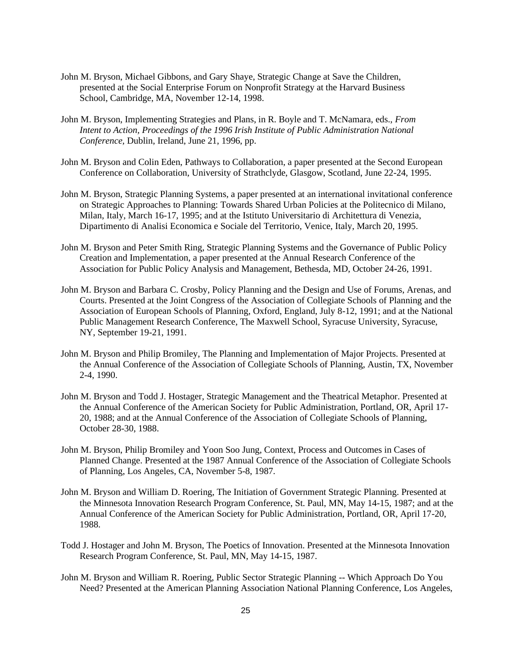- John M. Bryson, Michael Gibbons, and Gary Shaye, Strategic Change at Save the Children, presented at the Social Enterprise Forum on Nonprofit Strategy at the Harvard Business School, Cambridge, MA, November 12-14, 1998.
- John M. Bryson, Implementing Strategies and Plans, in R. Boyle and T. McNamara, eds., *From Intent to Action, Proceedings of the 1996 Irish Institute of Public Administration National Conference,* Dublin, Ireland, June 21, 1996, pp.
- John M. Bryson and Colin Eden, Pathways to Collaboration, a paper presented at the Second European Conference on Collaboration, University of Strathclyde, Glasgow, Scotland, June 22-24, 1995.
- John M. Bryson, Strategic Planning Systems, a paper presented at an international invitational conference on Strategic Approaches to Planning: Towards Shared Urban Policies at the Politecnico di Milano, Milan, Italy, March 16-17, 1995; and at the Istituto Universitario di Architettura di Venezia, Dipartimento di Analisi Economica e Sociale del Territorio, Venice, Italy, March 20, 1995.
- John M. Bryson and Peter Smith Ring, Strategic Planning Systems and the Governance of Public Policy Creation and Implementation, a paper presented at the Annual Research Conference of the Association for Public Policy Analysis and Management, Bethesda, MD, October 24-26, 1991.
- John M. Bryson and Barbara C. Crosby, Policy Planning and the Design and Use of Forums, Arenas, and Courts. Presented at the Joint Congress of the Association of Collegiate Schools of Planning and the Association of European Schools of Planning, Oxford, England, July 8-12, 1991; and at the National Public Management Research Conference, The Maxwell School, Syracuse University, Syracuse, NY, September 19-21, 1991.
- John M. Bryson and Philip Bromiley, The Planning and Implementation of Major Projects. Presented at the Annual Conference of the Association of Collegiate Schools of Planning, Austin, TX, November 2-4, 1990.
- John M. Bryson and Todd J. Hostager, Strategic Management and the Theatrical Metaphor. Presented at the Annual Conference of the American Society for Public Administration, Portland, OR, April 17- 20, 1988; and at the Annual Conference of the Association of Collegiate Schools of Planning, October 28-30, 1988.
- John M. Bryson, Philip Bromiley and Yoon Soo Jung, Context, Process and Outcomes in Cases of Planned Change. Presented at the 1987 Annual Conference of the Association of Collegiate Schools of Planning, Los Angeles, CA, November 5-8, 1987.
- John M. Bryson and William D. Roering, The Initiation of Government Strategic Planning. Presented at the Minnesota Innovation Research Program Conference, St. Paul, MN, May 14-15, 1987; and at the Annual Conference of the American Society for Public Administration, Portland, OR, April 17-20, 1988.
- Todd J. Hostager and John M. Bryson, The Poetics of Innovation. Presented at the Minnesota Innovation Research Program Conference, St. Paul, MN, May 14-15, 1987.
- John M. Bryson and William R. Roering, Public Sector Strategic Planning -- Which Approach Do You Need? Presented at the American Planning Association National Planning Conference, Los Angeles,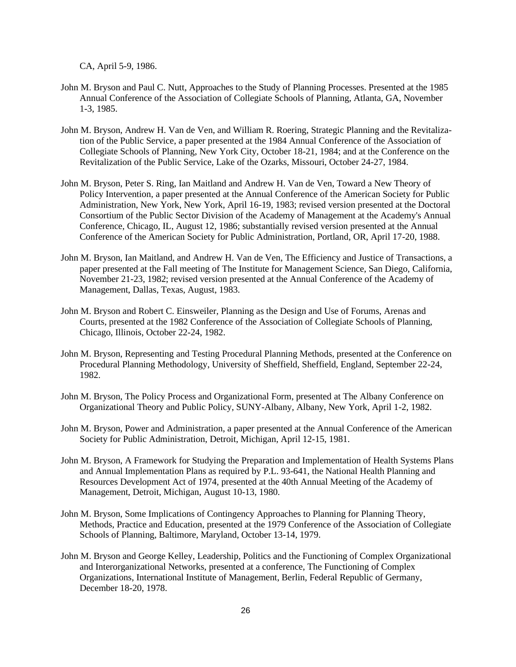CA, April 5-9, 1986.

- John M. Bryson and Paul C. Nutt, Approaches to the Study of Planning Processes. Presented at the 1985 Annual Conference of the Association of Collegiate Schools of Planning, Atlanta, GA, November 1-3, 1985.
- John M. Bryson, Andrew H. Van de Ven, and William R. Roering, Strategic Planning and the Revitalization of the Public Service, a paper presented at the 1984 Annual Conference of the Association of Collegiate Schools of Planning, New York City, October 18-21, 1984; and at the Conference on the Revitalization of the Public Service, Lake of the Ozarks, Missouri, October 24-27, 1984.
- John M. Bryson, Peter S. Ring, Ian Maitland and Andrew H. Van de Ven, Toward a New Theory of Policy Intervention, a paper presented at the Annual Conference of the American Society for Public Administration, New York, New York, April 16-19, 1983; revised version presented at the Doctoral Consortium of the Public Sector Division of the Academy of Management at the Academy's Annual Conference, Chicago, IL, August 12, 1986; substantially revised version presented at the Annual Conference of the American Society for Public Administration, Portland, OR, April 17-20, 1988.
- John M. Bryson, Ian Maitland, and Andrew H. Van de Ven, The Efficiency and Justice of Transactions, a paper presented at the Fall meeting of The Institute for Management Science, San Diego, California, November 21-23, 1982; revised version presented at the Annual Conference of the Academy of Management, Dallas, Texas, August, 1983.
- John M. Bryson and Robert C. Einsweiler, Planning as the Design and Use of Forums, Arenas and Courts, presented at the 1982 Conference of the Association of Collegiate Schools of Planning, Chicago, Illinois, October 22-24, 1982.
- John M. Bryson, Representing and Testing Procedural Planning Methods, presented at the Conference on Procedural Planning Methodology, University of Sheffield, Sheffield, England, September 22-24, 1982.
- John M. Bryson, The Policy Process and Organizational Form, presented at The Albany Conference on Organizational Theory and Public Policy, SUNY-Albany, Albany, New York, April 1-2, 1982.
- John M. Bryson, Power and Administration, a paper presented at the Annual Conference of the American Society for Public Administration, Detroit, Michigan, April 12-15, 1981.
- John M. Bryson, A Framework for Studying the Preparation and Implementation of Health Systems Plans and Annual Implementation Plans as required by P.L. 93-641, the National Health Planning and Resources Development Act of 1974, presented at the 40th Annual Meeting of the Academy of Management, Detroit, Michigan, August 10-13, 1980.
- John M. Bryson, Some Implications of Contingency Approaches to Planning for Planning Theory, Methods, Practice and Education, presented at the 1979 Conference of the Association of Collegiate Schools of Planning, Baltimore, Maryland, October 13-14, 1979.
- John M. Bryson and George Kelley, Leadership, Politics and the Functioning of Complex Organizational and Interorganizational Networks, presented at a conference, The Functioning of Complex Organizations, International Institute of Management, Berlin, Federal Republic of Germany, December 18-20, 1978.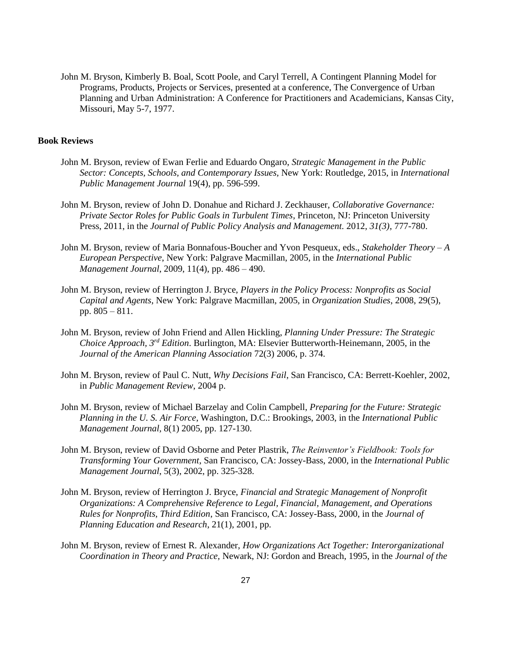John M. Bryson, Kimberly B. Boal, Scott Poole, and Caryl Terrell, A Contingent Planning Model for Programs, Products, Projects or Services, presented at a conference, The Convergence of Urban Planning and Urban Administration: A Conference for Practitioners and Academicians, Kansas City, Missouri, May 5-7, 1977.

## **Book Reviews**

- John M. Bryson, review of Ewan Ferlie and Eduardo Ongaro, *Strategic Management in the Public Sector: Concepts, Schools, and Contemporary Issues,* New York: Routledge, 2015, in *International Public Management Journal* 19(4), pp. 596-599.
- John M. Bryson, review of John D. Donahue and Richard J. Zeckhauser, *Collaborative Governance: Private Sector Roles for Public Goals in Turbulent Times*, Princeton, NJ: Princeton University Press, 2011, in the *Journal of Public Policy Analysis and Management.* 2012, *31(3)*, 777-780.
- John M. Bryson, review of Maria Bonnafous-Boucher and Yvon Pesqueux, eds., *Stakeholder Theory – A European Perspective*, New York: Palgrave Macmillan, 2005, in the *International Public Management Journal*, 2009, 11(4), pp. 486 – 490.
- John M. Bryson, review of Herrington J. Bryce, *Players in the Policy Process: Nonprofits as Social Capital and Agents*, New York: Palgrave Macmillan, 2005, in *Organization Studies*, 2008, 29(5), pp. 805 – 811.
- John M. Bryson, review of John Friend and Allen Hickling, *Planning Under Pressure: The Strategic Choice Approach, 3rd Edition*. Burlington, MA: Elsevier Butterworth-Heinemann, 2005, in the *Journal of the American Planning Association* 72(3) 2006, p. 374.
- John M. Bryson, review of Paul C. Nutt, *Why Decisions Fail*, San Francisco, CA: Berrett-Koehler, 2002, in *Public Management Review*, 2004 p.
- John M. Bryson, review of Michael Barzelay and Colin Campbell, *Preparing for the Future: Strategic Planning in the U. S. Air Force*, Washington, D.C.: Brookings, 2003, in the *International Public Management Journal,* 8(1) 2005, pp. 127-130.
- John M. Bryson, review of David Osborne and Peter Plastrik, *The Reinventor's Fieldbook: Tools for Transforming Your Government*, San Francisco, CA: Jossey-Bass, 2000, in the *International Public Management Journal*, 5(3), 2002, pp. 325-328.
- John M. Bryson, review of Herrington J. Bryce, *Financial and Strategic Management of Nonprofit Organizations: A Comprehensive Reference to Legal, Financial, Management, and Operations Rules for Nonprofits, Third Edition*, San Francisco, CA: Jossey-Bass, 2000, in the *Journal of Planning Education and Research*, 21(1), 2001, pp.
- John M. Bryson, review of Ernest R. Alexander, *How Organizations Act Together: Interorganizational Coordination in Theory and Practice,* Newark, NJ: Gordon and Breach, 1995, in the *Journal of the*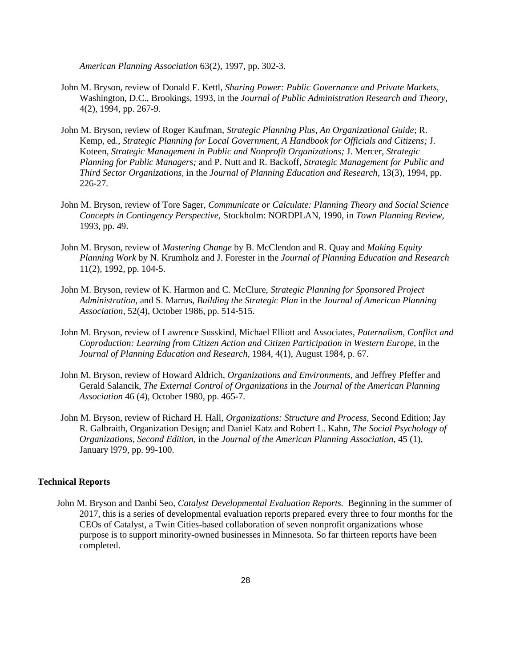*American Planning Association* 63(2), 1997, pp. 302-3.

- John M. Bryson, review of Donald F. Kettl, *Sharing Power: Public Governance and Private Markets,* Washington, D.C., Brookings, 1993, in the *Journal of Public Administration Research and Theory,* 4(2), 1994, pp. 267-9.
- John M. Bryson, review of Roger Kaufman, *Strategic Planning Plus, An Organizational Guide*; R. Kemp, ed., *Strategic Planning for Local Government, A Handbook for Officials and Citizens;* J. Koteen, *Strategic Management in Public and Nonprofit Organizations;* J. Mercer, *Strategic Planning for Public Managers;* and P. Nutt and R. Backoff, *Strategic Management for Public and Third Sector Organizations,* in the *Journal of Planning Education and Research,* 13(3), 1994, pp. 226-27.
- John M. Bryson, review of Tore Sager, *Communicate or Calculate: Planning Theory and Social Science Concepts in Contingency Perspective,* Stockholm: NORDPLAN, 1990, in *Town Planning Review,* 1993, pp. 49.
- John M. Bryson, review of *Mastering Change* by B. McClendon and R. Quay and *Making Equity Planning Work* by N. Krumholz and J. Forester in the *Journal of Planning Education and Research* 11(2), 1992, pp. 104-5.
- John M. Bryson, review of K. Harmon and C. McClure, *Strategic Planning for Sponsored Project Administration,* and S. Marrus, *Building the Strategic Plan* in the *Journal of American Planning Association,* 52(4), October 1986, pp. 514-515.
- John M. Bryson, review of Lawrence Susskind, Michael Elliott and Associates, *Paternalism, Conflict and Coproduction: Learning from Citizen Action and Citizen Participation in Western Europe,* in the *Journal of Planning Education and Research,* 1984, 4(1), August 1984, p. 67.
- John M. Bryson, review of Howard Aldrich, *Organizations and Environments,* and Jeffrey Pfeffer and Gerald Salancik, *The External Control of Organizations* in the *Journal of the American Planning Association* 46 (4), October 1980, pp. 465-7.
- John M. Bryson, review of Richard H. Hall, *Organizations: Structure and Process,* Second Edition; Jay R. Galbraith, Organization Design; and Daniel Katz and Robert L. Kahn, *The Social Psychology of Organizations, Second Edition,* in the *Journal of the American Planning Association,* 45 (1), January l979, pp. 99-100.

# **Technical Reports**

John M. Bryson and Danbi Seo, *Catalyst Developmental Evaluation Reports.* Beginning in the summer of 2017, this is a series of developmental evaluation reports prepared every three to four months for the CEOs of Catalyst, a Twin Cities-based collaboration of seven nonprofit organizations whose purpose is to support minority-owned businesses in Minnesota. So far thirteen reports have been completed.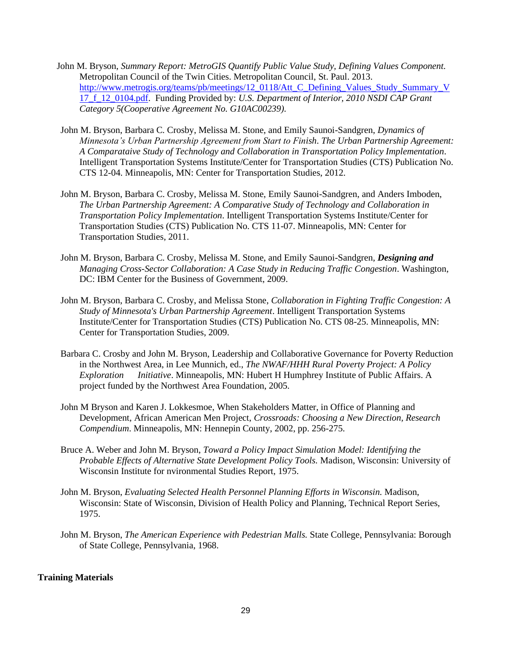- John M. Bryson, *Summary Report: MetroGIS Quantify Public Value Study, Defining Values Component.*  Metropolitan Council of the Twin Cities. Metropolitan Council, St. Paul. 2013. [http://www.metrogis.org/teams/pb/meetings/12\\_0118/Att\\_C\\_Defining\\_Values\\_Study\\_Summary\\_V](http://www.metrogis.org/teams/pb/meetings/12_0118/Att_C_Defining_Values_Study_Summary_V17_f_12_0104.pdf) [17\\_f\\_12\\_0104.pdf.](http://www.metrogis.org/teams/pb/meetings/12_0118/Att_C_Defining_Values_Study_Summary_V17_f_12_0104.pdf) Funding Provided by: *U.S. Department of Interior, 2010 NSDI CAP Grant Category 5(Cooperative Agreement No. G10AC00239).*
- John M. Bryson, Barbara C. Crosby, Melissa M. Stone, and Emily Saunoi-Sandgren, *Dynamics of Minnesota's Urban Partnership Agreement from Start to Finish*. *The Urban Partnership Agreement: A Comparataive Study of Technology and Collaboration in Transportation Policy Implementation*. Intelligent Transportation Systems Institute/Center for Transportation Studies (CTS) Publication No. CTS 12-04. Minneapolis, MN: Center for Transportation Studies, 2012.
- John M. Bryson, Barbara C. Crosby, Melissa M. Stone, Emily Saunoi-Sandgren, and Anders Imboden, *The Urban Partnership Agreement: A Comparative Study of Technology and Collaboration in Transportation Policy Implementation*. Intelligent Transportation Systems Institute/Center for Transportation Studies (CTS) Publication No. CTS 11-07. Minneapolis, MN: Center for Transportation Studies, 2011.
- John M. Bryson, Barbara C. Crosby, Melissa M. Stone, and Emily Saunoi-Sandgren, *Designing and Managing Cross-Sector Collaboration: A Case Study in Reducing Traffic Congestion*. Washington, DC: IBM Center for the Business of Government, 2009.
- John M. Bryson, Barbara C. Crosby, and Melissa Stone, *Collaboration in Fighting Traffic Congestion: A Study of Minnesota's Urban Partnership Agreement*. Intelligent Transportation Systems Institute/Center for Transportation Studies (CTS) Publication No. CTS 08-25. Minneapolis, MN: Center for Transportation Studies, 2009.
- Barbara C. Crosby and John M. Bryson, Leadership and Collaborative Governance for Poverty Reduction in the Northwest Area, in Lee Munnich, ed., *The NWAF/HHH Rural Poverty Project: A Policy Exploration Initiative*. Minneapolis, MN: Hubert H Humphrey Institute of Public Affairs. A project funded by the Northwest Area Foundation, 2005.
- John M Bryson and Karen J. Lokkesmoe, When Stakeholders Matter, in Office of Planning and Development, African American Men Project, *Crossroads: Choosing a New Direction, Research Compendium*. Minneapolis, MN: Hennepin County, 2002, pp. 256-275.
- Bruce A. Weber and John M. Bryson, *Toward a Policy Impact Simulation Model: Identifying the Probable Effects of Alternative State Development Policy Tools.* Madison, Wisconsin: University of Wisconsin Institute for nvironmental Studies Report, 1975.
- John M. Bryson, *Evaluating Selected Health Personnel Planning Efforts in Wisconsin.* Madison, Wisconsin: State of Wisconsin, Division of Health Policy and Planning, Technical Report Series, 1975.
- John M. Bryson, *The American Experience with Pedestrian Malls.* State College, Pennsylvania: Borough of State College, Pennsylvania, 1968.

# **Training Materials**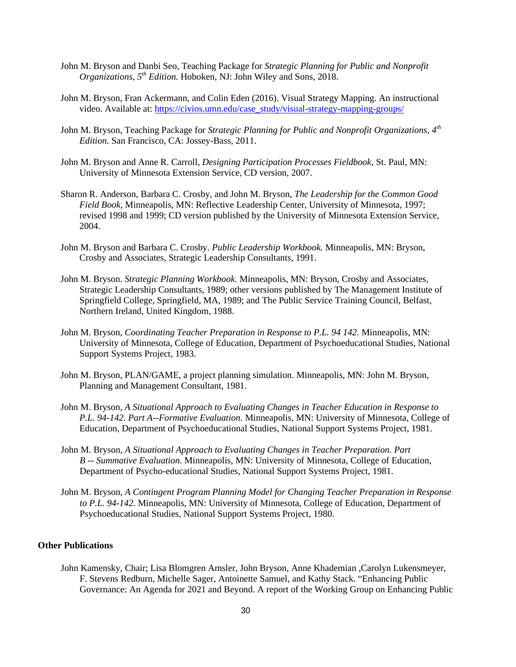- John M. Bryson and Danbi Seo, Teaching Package for *Strategic Planning for Public and Nonprofit Organizations, 5th Edition.* Hoboken, NJ: John Wiley and Sons, 2018.
- John M. Bryson, Fran Ackermann, and Colin Eden (2016). Visual Strategy Mapping. An instructional video. Available at: [https://civios.umn.edu/case\\_study/visual-strategy-mapping-groups/](https://civios.umn.edu/case_study/visual-strategy-mapping-groups/)
- John M. Bryson, Teaching Package for *Strategic Planning for Public and Nonprofit Organizations, 4th Edition.* San Francisco, CA: Jossey-Bass, 2011.
- John M. Bryson and Anne R. Carroll, *Designing Participation Processes Fieldbook*, St. Paul, MN: University of Minnesota Extension Service, CD version, 2007.
- Sharon R. Anderson, Barbara C. Crosby, and John M. Bryson, *The Leadership for the Common Good Field Book,* Minneapolis, MN: Reflective Leadership Center, University of Minnesota, 1997; revised 1998 and 1999; CD version published by the University of Minnesota Extension Service, 2004.
- John M. Bryson and Barbara C. Crosby. *Public Leadership Workbook.* Minneapolis, MN: Bryson, Crosby and Associates, Strategic Leadership Consultants, 1991.
- John M. Bryson. *Strategic Planning Workbook.* Minneapolis, MN: Bryson, Crosby and Associates, Strategic Leadership Consultants, 1989; other versions published by The Management Institute of Springfield College, Springfield, MA, 1989; and The Public Service Training Council, Belfast, Northern Ireland, United Kingdom, 1988.
- John M. Bryson, *Coordinating Teacher Preparation in Response to P.L. 94 142.* Minneapolis, MN: University of Minnesota, College of Education, Department of Psychoeducational Studies, National Support Systems Project, 1983.
- John M. Bryson, PLAN/GAME, a project planning simulation. Minneapolis, MN: John M. Bryson, Planning and Management Consultant, 1981.
- John M. Bryson, *A Situational Approach to Evaluating Changes in Teacher Education in Response to P.L. 94-142. Part A--Formative Evaluation.* Minneapolis, MN: University of Minnesota, College of Education, Department of Psychoeducational Studies, National Support Systems Project, 1981.
- John M. Bryson, *A Situational Approach to Evaluating Changes in Teacher Preparation. Part B -- Summative Evaluation.* Minneapolis, MN: University of Minnesota, College of Education, Department of Psycho-educational Studies, National Support Systems Project, 1981.
- John M. Bryson, *A Contingent Program Planning Model for Changing Teacher Preparation in Response to P.L. 94-142.* Minneapolis, MN: University of Minnesota, College of Education, Department of Psychoeducational Studies, National Support Systems Project, 1980.

# **Other Publications**

John Kamensky, Chair; Lisa Blomgren Amsler, John Bryson, Anne Khademian ,Carolyn Lukensmeyer, F. Stevens Redburn, Michelle Sager, Antoinette Samuel, and Kathy Stack. "Enhancing Public Governance: An Agenda for 2021 and Beyond. A report of the Working Group on Enhancing Public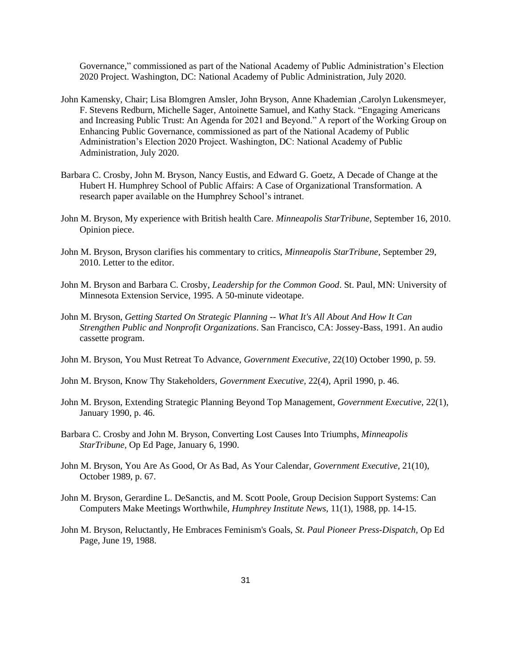Governance," commissioned as part of the National Academy of Public Administration's Election 2020 Project. Washington, DC: National Academy of Public Administration, July 2020.

- John Kamensky, Chair; Lisa Blomgren Amsler, John Bryson, Anne Khademian ,Carolyn Lukensmeyer, F. Stevens Redburn, Michelle Sager, Antoinette Samuel, and Kathy Stack. "Engaging Americans and Increasing Public Trust: An Agenda for 2021 and Beyond." A report of the Working Group on Enhancing Public Governance, commissioned as part of the National Academy of Public Administration's Election 2020 Project. Washington, DC: National Academy of Public Administration, July 2020.
- Barbara C. Crosby, John M. Bryson, Nancy Eustis, and Edward G. Goetz, A Decade of Change at the Hubert H. Humphrey School of Public Affairs: A Case of Organizational Transformation. A research paper available on the Humphrey School's intranet.
- John M. Bryson, My experience with British health Care. *Minneapolis StarTribune*, September 16, 2010. Opinion piece.
- John M. Bryson, Bryson clarifies his commentary to critics, *Minneapolis StarTribune,* September 29, 2010. Letter to the editor.
- John M. Bryson and Barbara C. Crosby, *Leadership for the Common Good*. St. Paul, MN: University of Minnesota Extension Service, 1995. A 50-minute videotape.
- John M. Bryson, *Getting Started On Strategic Planning -- What It's All About And How It Can Strengthen Public and Nonprofit Organizations*. San Francisco, CA: Jossey-Bass, 1991. An audio cassette program.
- John M. Bryson, You Must Retreat To Advance, *Government Executive,* 22(10) October 1990, p. 59.
- John M. Bryson, Know Thy Stakeholders, *Government Executive,* 22(4), April 1990, p. 46.
- John M. Bryson, Extending Strategic Planning Beyond Top Management, *Government Executive,* 22(1), January 1990, p. 46.
- Barbara C. Crosby and John M. Bryson, Converting Lost Causes Into Triumphs, *Minneapolis StarTribune,* Op Ed Page, January 6, 1990.
- John M. Bryson, You Are As Good, Or As Bad, As Your Calendar, *Government Executive,* 21(10), October 1989, p. 67.
- John M. Bryson, Gerardine L. DeSanctis, and M. Scott Poole, Group Decision Support Systems: Can Computers Make Meetings Worthwhile, *Humphrey Institute News,* 11(1), 1988, pp. 14-15.
- John M. Bryson, Reluctantly, He Embraces Feminism's Goals, *St. Paul Pioneer Press-Dispatch,* Op Ed Page, June 19, 1988.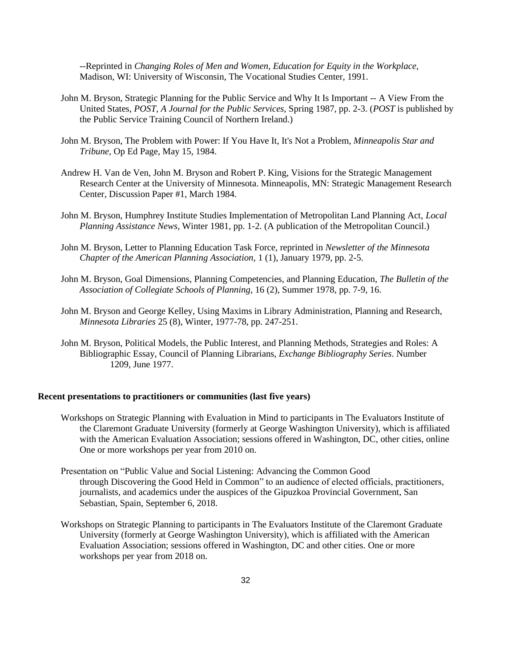--Reprinted in *Changing Roles of Men and Women, Education for Equity in the Workplace,* Madison, WI: University of Wisconsin, The Vocational Studies Center, 1991.

- John M. Bryson, Strategic Planning for the Public Service and Why It Is Important -- A View From the United States, *POST, A Journal for the Public Services,* Spring 1987, pp. 2-3. (*POST* is published by the Public Service Training Council of Northern Ireland.)
- John M. Bryson, The Problem with Power: If You Have It, It's Not a Problem, *Minneapolis Star and Tribune,* Op Ed Page, May 15, 1984.
- Andrew H. Van de Ven, John M. Bryson and Robert P. King, Visions for the Strategic Management Research Center at the University of Minnesota. Minneapolis, MN: Strategic Management Research Center, Discussion Paper #1, March 1984.
- John M. Bryson, Humphrey Institute Studies Implementation of Metropolitan Land Planning Act, *Local Planning Assistance News,* Winter 1981, pp. 1-2. (A publication of the Metropolitan Council.)
- John M. Bryson, Letter to Planning Education Task Force, reprinted in *Newsletter of the Minnesota Chapter of the American Planning Association,* 1 (1), January 1979, pp. 2-5.
- John M. Bryson, Goal Dimensions, Planning Competencies, and Planning Education, *The Bulletin of the Association of Collegiate Schools of Planning,* 16 (2), Summer 1978, pp. 7-9, 16.
- John M. Bryson and George Kelley, Using Maxims in Library Administration, Planning and Research, *Minnesota Libraries* 25 (8), Winter, 1977-78, pp. 247-251.
- John M. Bryson, Political Models, the Public Interest, and Planning Methods, Strategies and Roles: A Bibliographic Essay, Council of Planning Librarians, *Exchange Bibliography Series*. Number 1209, June 1977.

## **Recent presentations to practitioners or communities (last five years)**

- Workshops on Strategic Planning with Evaluation in Mind to participants in The Evaluators Institute of the Claremont Graduate University (formerly at George Washington University), which is affiliated with the American Evaluation Association; sessions offered in Washington, DC, other cities, online One or more workshops per year from 2010 on.
- Presentation on "Public Value and Social Listening: Advancing the Common Good through Discovering the Good Held in Common" to an audience of elected officials, practitioners, journalists, and academics under the auspices of the Gipuzkoa Provincial Government, San Sebastian, Spain, September 6, 2018.
- Workshops on Strategic Planning to participants in The Evaluators Institute of the Claremont Graduate University (formerly at George Washington University), which is affiliated with the American Evaluation Association; sessions offered in Washington, DC and other cities. One or more workshops per year from 2018 on.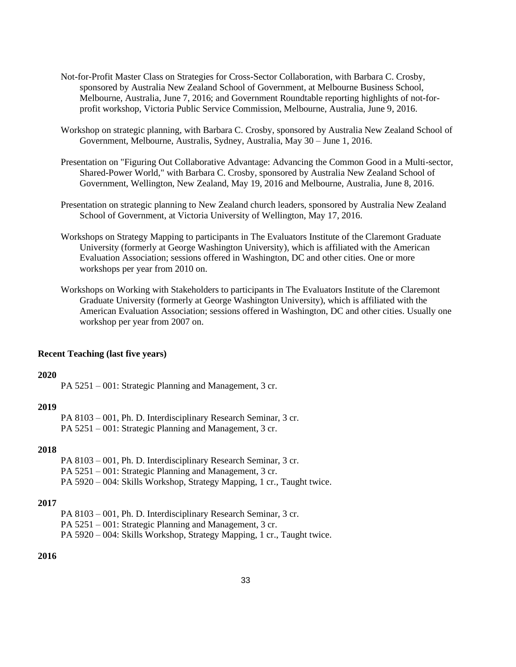- Not-for-Profit Master Class on Strategies for Cross-Sector Collaboration, with Barbara C. Crosby, sponsored by Australia New Zealand School of Government, at Melbourne Business School, Melbourne, Australia, June 7, 2016; and Government Roundtable reporting highlights of not-forprofit workshop, Victoria Public Service Commission, Melbourne, Australia, June 9, 2016.
- Workshop on strategic planning, with Barbara C. Crosby, sponsored by Australia New Zealand School of Government, Melbourne, Australis, Sydney, Australia, May 30 – June 1, 2016.
- Presentation on "Figuring Out Collaborative Advantage: Advancing the Common Good in a Multi-sector, Shared-Power World," with Barbara C. Crosby, sponsored by Australia New Zealand School of Government, Wellington, New Zealand, May 19, 2016 and Melbourne, Australia, June 8, 2016.
- Presentation on strategic planning to New Zealand church leaders, sponsored by Australia New Zealand School of Government, at Victoria University of Wellington, May 17, 2016.
- Workshops on Strategy Mapping to participants in The Evaluators Institute of the Claremont Graduate University (formerly at George Washington University), which is affiliated with the American Evaluation Association; sessions offered in Washington, DC and other cities. One or more workshops per year from 2010 on.
- Workshops on Working with Stakeholders to participants in The Evaluators Institute of the Claremont Graduate University (formerly at George Washington University), which is affiliated with the American Evaluation Association; sessions offered in Washington, DC and other cities. Usually one workshop per year from 2007 on.

#### **Recent Teaching (last five years)**

## **2020**

PA 5251 – 001: Strategic Planning and Management, 3 cr.

#### **2019**

PA 8103 – 001, Ph. D. Interdisciplinary Research Seminar, 3 cr. PA 5251 – 001: Strategic Planning and Management, 3 cr.

# **2018**

PA 8103 – 001, Ph. D. Interdisciplinary Research Seminar, 3 cr. PA 5251 – 001: Strategic Planning and Management, 3 cr. PA 5920 – 004: Skills Workshop, Strategy Mapping, 1 cr., Taught twice.

#### **2017**

PA 8103 – 001, Ph. D. Interdisciplinary Research Seminar, 3 cr. PA 5251 – 001: Strategic Planning and Management, 3 cr. PA 5920 – 004: Skills Workshop, Strategy Mapping, 1 cr., Taught twice.

# **2016**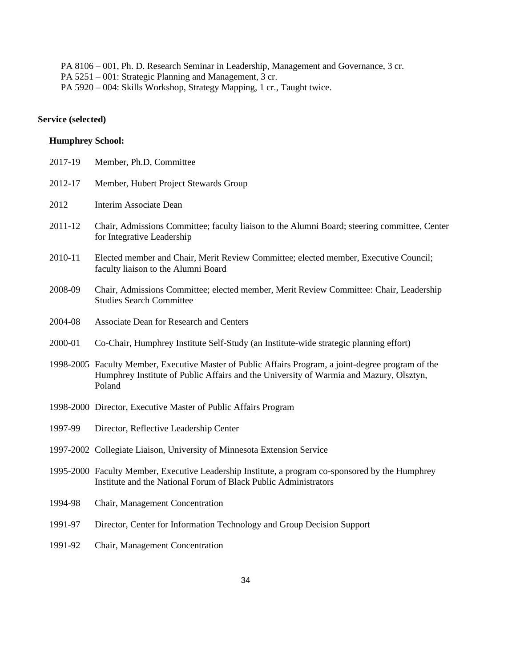PA 8106 – 001, Ph. D. Research Seminar in Leadership, Management and Governance, 3 cr. PA 5251 – 001: Strategic Planning and Management, 3 cr. PA 5920 – 004: Skills Workshop, Strategy Mapping, 1 cr., Taught twice.

# **Service (selected)**

# **Humphrey School:**

| 2017-19 | Member, Ph.D, Committee                                                                                                                                                                                 |
|---------|---------------------------------------------------------------------------------------------------------------------------------------------------------------------------------------------------------|
| 2012-17 | Member, Hubert Project Stewards Group                                                                                                                                                                   |
| 2012    | Interim Associate Dean                                                                                                                                                                                  |
| 2011-12 | Chair, Admissions Committee; faculty liaison to the Alumni Board; steering committee, Center<br>for Integrative Leadership                                                                              |
| 2010-11 | Elected member and Chair, Merit Review Committee; elected member, Executive Council;<br>faculty liaison to the Alumni Board                                                                             |
| 2008-09 | Chair, Admissions Committee; elected member, Merit Review Committee: Chair, Leadership<br><b>Studies Search Committee</b>                                                                               |
| 2004-08 | <b>Associate Dean for Research and Centers</b>                                                                                                                                                          |
| 2000-01 | Co-Chair, Humphrey Institute Self-Study (an Institute-wide strategic planning effort)                                                                                                                   |
|         | 1998-2005 Faculty Member, Executive Master of Public Affairs Program, a joint-degree program of the<br>Humphrey Institute of Public Affairs and the University of Warmia and Mazury, Olsztyn,<br>Poland |
|         | 1998-2000 Director, Executive Master of Public Affairs Program                                                                                                                                          |
| 1997-99 | Director, Reflective Leadership Center                                                                                                                                                                  |
|         | 1997-2002 Collegiate Liaison, University of Minnesota Extension Service                                                                                                                                 |
|         | 1995-2000 Faculty Member, Executive Leadership Institute, a program co-sponsored by the Humphrey<br>Institute and the National Forum of Black Public Administrators                                     |
| 1994-98 | Chair, Management Concentration                                                                                                                                                                         |
| 1991-97 | Director, Center for Information Technology and Group Decision Support                                                                                                                                  |
| 1991-92 | Chair, Management Concentration                                                                                                                                                                         |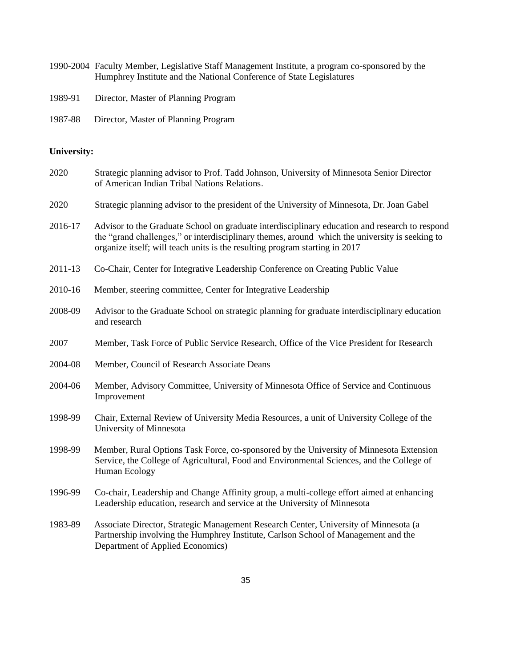| 1990-2004 Faculty Member, Legislative Staff Management Institute, a program co-sponsored by the |
|-------------------------------------------------------------------------------------------------|
| Humphrey Institute and the National Conference of State Legislatures                            |

- 1989-91 Director, Master of Planning Program
- 1987-88 Director, Master of Planning Program

# **University:**

| 2020    | Strategic planning advisor to Prof. Tadd Johnson, University of Minnesota Senior Director<br>of American Indian Tribal Nations Relations.                                                                                                                                       |
|---------|---------------------------------------------------------------------------------------------------------------------------------------------------------------------------------------------------------------------------------------------------------------------------------|
| 2020    | Strategic planning advisor to the president of the University of Minnesota, Dr. Joan Gabel                                                                                                                                                                                      |
| 2016-17 | Advisor to the Graduate School on graduate interdisciplinary education and research to respond<br>the "grand challenges," or interdisciplinary themes, around which the university is seeking to<br>organize itself; will teach units is the resulting program starting in 2017 |
| 2011-13 | Co-Chair, Center for Integrative Leadership Conference on Creating Public Value                                                                                                                                                                                                 |
| 2010-16 | Member, steering committee, Center for Integrative Leadership                                                                                                                                                                                                                   |
| 2008-09 | Advisor to the Graduate School on strategic planning for graduate interdisciplinary education<br>and research                                                                                                                                                                   |
| 2007    | Member, Task Force of Public Service Research, Office of the Vice President for Research                                                                                                                                                                                        |
| 2004-08 | Member, Council of Research Associate Deans                                                                                                                                                                                                                                     |
| 2004-06 | Member, Advisory Committee, University of Minnesota Office of Service and Continuous<br>Improvement                                                                                                                                                                             |
| 1998-99 | Chair, External Review of University Media Resources, a unit of University College of the<br>University of Minnesota                                                                                                                                                            |
| 1998-99 | Member, Rural Options Task Force, co-sponsored by the University of Minnesota Extension<br>Service, the College of Agricultural, Food and Environmental Sciences, and the College of<br>Human Ecology                                                                           |
| 1996-99 | Co-chair, Leadership and Change Affinity group, a multi-college effort aimed at enhancing<br>Leadership education, research and service at the University of Minnesota                                                                                                          |
| 1983-89 | Associate Director, Strategic Management Research Center, University of Minnesota (a<br>Partnership involving the Humphrey Institute, Carlson School of Management and the<br>Department of Applied Economics)                                                                  |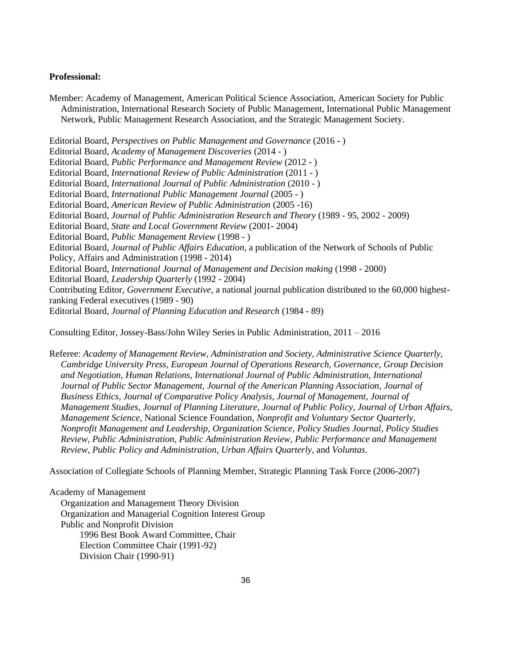## **Professional:**

Member: Academy of Management, American Political Science Association, American Society for Public Administration, International Research Society of Public Management, International Public Management Network, Public Management Research Association, and the Strategic Management Society.

Editorial Board, *Perspectives on Public Management and Governance* (2016 - ) Editorial Board, *Academy of Management Discoveries* (2014 - ) Editorial Board, *Public Performance and Management Review* (2012 - ) Editorial Board, *International Review of Public Administration* (2011 - ) Editorial Board, *International Journal of Public Administration* (2010 - ) Editorial Board, *International Public Management Journal* (2005 - ) Editorial Board, *American Review of Public Administration* (2005 -16) Editorial Board, *Journal of Public Administration Research and Theory* (1989 - 95, 2002 - 2009) Editorial Board, *State and Local Government Review* (2001- 2004) Editorial Board, *Public Management Review* (1998 - ) Editorial Board, *Journal of Public Affairs Education*, a publication of the Network of Schools of Public Policy, Affairs and Administration (1998 - 2014) Editorial Board, *International Journal of Management and Decision making* (1998 - 2000) Editorial Board, *Leadership Quarterly* (1992 - 2004) Contributing Editor, *Government Executive*, a national journal publication distributed to the 60,000 highestranking Federal executives (1989 - 90) Editorial Board, *Journal of Planning Education and Research* (1984 - 89)

Consulting Editor, Jossey-Bass/John Wiley Series in Public Administration, 2011 – 2016

Referee: *Academy of Management Review, Administration and Society, Administrative Science Quarterly, Cambridge University Press, European Journal of Operations Research, Governance, Group Decision and Negotiation, Human Relations, International Journal of Public Administration, International Journal of Public Sector Management, Journal of the American Planning Association, Journal of Business Ethics, Journal of Comparative Policy Analysis, Journal of Management, Journal of Management Studies, Journal of Planning Literature, Journal of Public Policy, Journal of Urban Affairs, Management Science,* National Science Foundation*, Nonprofit and Voluntary Sector Quarterly, Nonprofit Management and Leadership, Organization Science, Policy Studies Journal, Policy Studies Review, Public Administration, Public Administration Review, Public Performance and Management Review, Public Policy and Administration, Urban Affairs Quarterly,* and *Voluntas*.

Association of Collegiate Schools of Planning Member, Strategic Planning Task Force (2006-2007)

Academy of Management Organization and Management Theory Division Organization and Managerial Cognition Interest Group Public and Nonprofit Division 1996 Best Book Award Committee, Chair Election Committee Chair (1991-92) Division Chair (1990-91)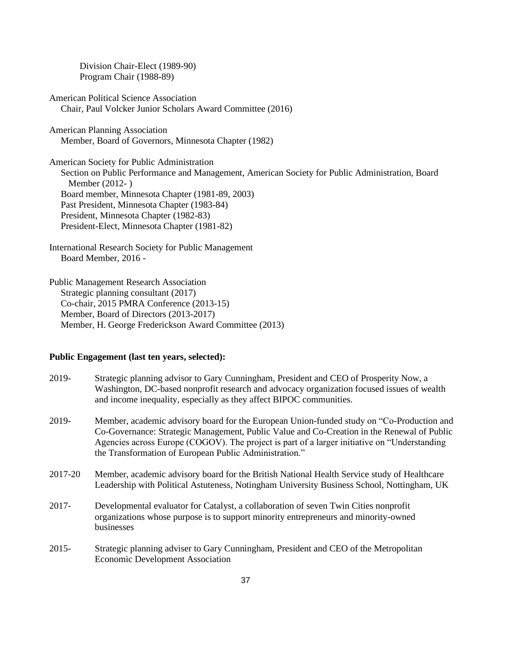Division Chair-Elect (1989-90) Program Chair (1988-89)

American Political Science Association Chair, Paul Volcker Junior Scholars Award Committee (2016)

American Planning Association Member, Board of Governors, Minnesota Chapter (1982)

American Society for Public Administration Section on Public Performance and Management, American Society for Public Administration, Board Member (2012- ) Board member, Minnesota Chapter (1981-89, 2003) Past President, Minnesota Chapter (1983-84) President, Minnesota Chapter (1982-83) President-Elect, Minnesota Chapter (1981-82)

International Research Society for Public Management Board Member, 2016 -

Public Management Research Association Strategic planning consultant (2017) Co-chair, 2015 PMRA Conference (2013-15) Member, Board of Directors (2013-2017) Member, H. George Frederickson Award Committee (2013)

# **Public Engagement (last ten years, selected):**

| 2019-    | Strategic planning advisor to Gary Cunningham, President and CEO of Prosperity Now, a<br>Washington, DC-based nonprofit research and advocacy organization focused issues of wealth<br>and income inequality, especially as they affect BIPOC communities.                                                                                         |
|----------|----------------------------------------------------------------------------------------------------------------------------------------------------------------------------------------------------------------------------------------------------------------------------------------------------------------------------------------------------|
| 2019-    | Member, academic advisory board for the European Union-funded study on "Co-Production and<br>Co-Governance: Strategic Management, Public Value and Co-Creation in the Renewal of Public<br>Agencies across Europe (COGOV). The project is part of a larger initiative on "Understanding"<br>the Transformation of European Public Administration." |
| 2017-20  | Member, academic advisory board for the British National Health Service study of Healthcare<br>Leadership with Political Astuteness, Notingham University Business School, Nottingham, UK                                                                                                                                                          |
| $2017 -$ | Developmental evaluator for Catalyst, a collaboration of seven Twin Cities nonprofit<br>organizations whose purpose is to support minority entrepreneurs and minority-owned<br>businesses                                                                                                                                                          |
| 0.01F    | $\alpha_{i+1}$ , the standard state of $\alpha_{i+1}$ and $\alpha_{i+1}$ are $\alpha_{i+1}$ and $\alpha_{i+1}$ and $\alpha_{i+1}$ and $\alpha_{i+1}$                                                                                                                                                                                               |

2015- Strategic planning adviser to Gary Cunningham, President and CEO of the Metropolitan Economic Development Association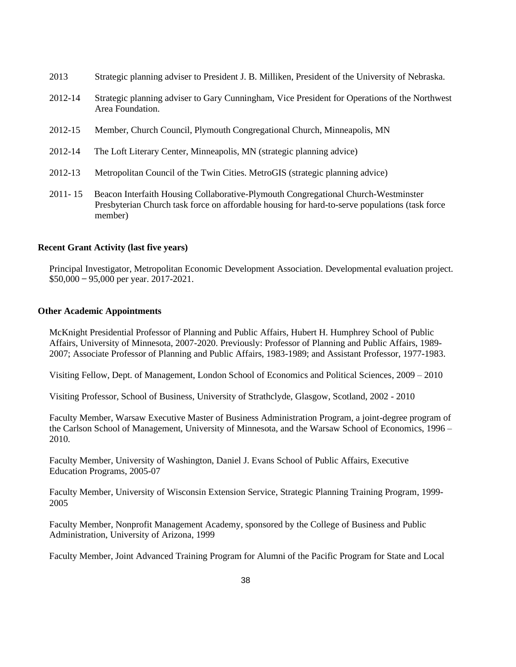- 2013 Strategic planning adviser to President J. B. Milliken, President of the University of Nebraska.
- 2012-14 Strategic planning adviser to Gary Cunningham, Vice President for Operations of the Northwest Area Foundation.
- 2012-15 Member, Church Council, Plymouth Congregational Church, Minneapolis, MN
- 2012-14 The Loft Literary Center, Minneapolis, MN (strategic planning advice)
- 2012-13 Metropolitan Council of the Twin Cities. MetroGIS (strategic planning advice)
- 2011- 15 Beacon Interfaith Housing Collaborative-Plymouth Congregational Church-Westminster Presbyterian Church task force on affordable housing for hard-to-serve populations (task force member)

# **Recent Grant Activity (last five years)**

Principal Investigator, Metropolitan Economic Development Association. Developmental evaluation project. \$50,000 ̶ 95,000 per year. 2017-2021.

# **Other Academic Appointments**

McKnight Presidential Professor of Planning and Public Affairs, Hubert H. Humphrey School of Public Affairs, University of Minnesota, 2007-2020. Previously: Professor of Planning and Public Affairs, 1989- 2007; Associate Professor of Planning and Public Affairs, 1983-1989; and Assistant Professor, 1977-1983.

Visiting Fellow, Dept. of Management, London School of Economics and Political Sciences, 2009 – 2010

Visiting Professor, School of Business, University of Strathclyde, Glasgow, Scotland, 2002 - 2010

Faculty Member, Warsaw Executive Master of Business Administration Program, a joint-degree program of the Carlson School of Management, University of Minnesota, and the Warsaw School of Economics, 1996 – 2010.

Faculty Member, University of Washington, Daniel J. Evans School of Public Affairs, Executive Education Programs, 2005-07

Faculty Member, University of Wisconsin Extension Service, Strategic Planning Training Program, 1999- 2005

Faculty Member, Nonprofit Management Academy, sponsored by the College of Business and Public Administration, University of Arizona, 1999

Faculty Member, Joint Advanced Training Program for Alumni of the Pacific Program for State and Local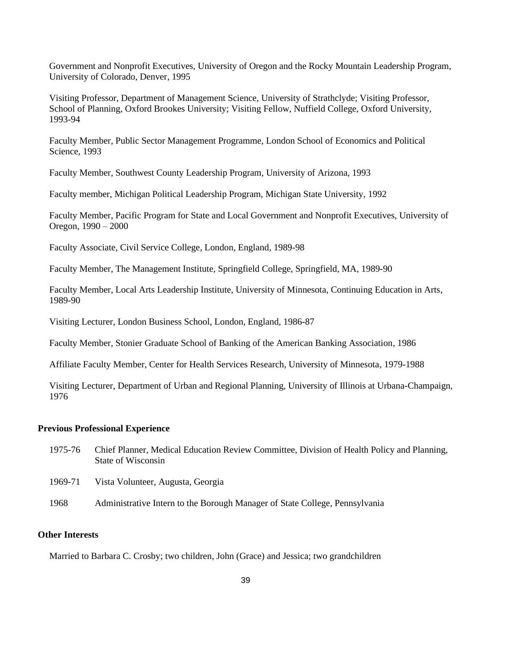Government and Nonprofit Executives, University of Oregon and the Rocky Mountain Leadership Program, University of Colorado, Denver, 1995

Visiting Professor, Department of Management Science, University of Strathclyde; Visiting Professor, School of Planning, Oxford Brookes University; Visiting Fellow, Nuffield College, Oxford University, 1993-94

Faculty Member, Public Sector Management Programme, London School of Economics and Political Science, 1993

Faculty Member, Southwest County Leadership Program, University of Arizona, 1993

Faculty member, Michigan Political Leadership Program, Michigan State University, 1992

Faculty Member, Pacific Program for State and Local Government and Nonprofit Executives, University of Oregon, 1990 – 2000

Faculty Associate, Civil Service College, London, England, 1989-98

Faculty Member, The Management Institute, Springfield College, Springfield, MA, 1989-90

Faculty Member, Local Arts Leadership Institute, University of Minnesota, Continuing Education in Arts, 1989-90

Visiting Lecturer, London Business School, London, England, 1986-87

Faculty Member, Stonier Graduate School of Banking of the American Banking Association, 1986

Affiliate Faculty Member, Center for Health Services Research, University of Minnesota, 1979-1988

Visiting Lecturer, Department of Urban and Regional Planning, University of Illinois at Urbana-Champaign, 1976

# **Previous Professional Experience**

1975-76 Chief Planner, Medical Education Review Committee, Division of Health Policy and Planning, State of Wisconsin

1969-71 Vista Volunteer, Augusta, Georgia

1968 Administrative Intern to the Borough Manager of State College, Pennsylvania

# **Other Interests**

Married to Barbara C. Crosby; two children, John (Grace) and Jessica; two grandchildren